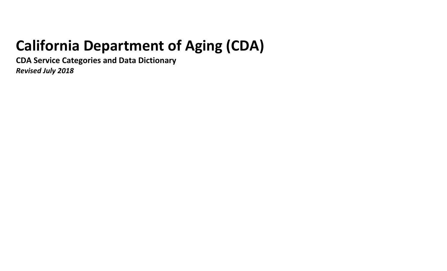# **California Department of Aging (CDA)**

**CDA Service Categories and Data Dictionary**

*Revised July 2018*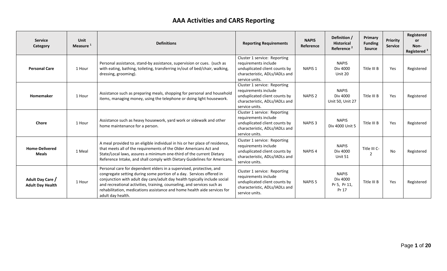## **AAA Activities and CARS Reporting**

| <b>Service</b><br><b>Category</b>           | Unit<br>Measure <sup>1</sup> | <b>Definitions</b>                                                                                                                                                                                                                                                                                                                                                                                   | <b>Reporting Requirements</b>                                                                                                             | <b>NAPIS</b><br>Reference | Definition /<br><b>Historical</b><br>Reference <sup>2</sup> | Primary<br><b>Funding</b><br><b>Source</b> | Priority<br><b>Service</b> | Registered<br><b>or</b><br>Non-<br>Registered <sup>3</sup> |
|---------------------------------------------|------------------------------|------------------------------------------------------------------------------------------------------------------------------------------------------------------------------------------------------------------------------------------------------------------------------------------------------------------------------------------------------------------------------------------------------|-------------------------------------------------------------------------------------------------------------------------------------------|---------------------------|-------------------------------------------------------------|--------------------------------------------|----------------------------|------------------------------------------------------------|
| <b>Personal Care</b>                        | 1 Hour                       | Personal assistance, stand-by assistance, supervision or cues. (such as<br>with eating, bathing, toileting, transferring in/out of bed/chair, walking,<br>dressing, grooming).                                                                                                                                                                                                                       | Cluster 1 service: Reporting<br>requirements include<br>unduplicated client counts by<br>characteristic, ADLs/IADLs and<br>service units. | <b>NAPIS 1</b>            | <b>NAPIS</b><br>Div 4000<br>Unit 20                         | Title III B                                | Yes                        | Registered                                                 |
| Homemaker                                   | 1 Hour                       | Assistance such as preparing meals, shopping for personal and household<br>items, managing money, using the telephone or doing light housework.                                                                                                                                                                                                                                                      | Cluster 1 service: Reporting<br>requirements include<br>unduplicated client counts by<br>characteristic, ADLs/IADLs and<br>service units. | <b>NAPIS 2</b>            | <b>NAPIS</b><br>Div 4000<br>Unit 50, Unit 27                | Title III B                                | Yes                        | Registered                                                 |
| Chore                                       | 1 Hour                       | Assistance such as heavy housework, yard work or sidewalk and other<br>home maintenance for a person.                                                                                                                                                                                                                                                                                                | Cluster 1 service: Reporting<br>requirements include<br>unduplicated client counts by<br>characteristic, ADLs/IADLs and<br>service units. | NAPIS <sub>3</sub>        | <b>NAPIS</b><br>Div 4000 Unit 5                             | Title III B                                | Yes                        | Registered                                                 |
| <b>Home-Delivered</b><br><b>Meals</b>       | 1 Meal                       | A meal provided to an eligible individual in his or her place of residence,<br>that meets all of the requirements of the Older Americans Act and<br>State/Local laws, assures a minimum one-third of the current Dietary<br>Reference Intake, and shall comply with Dietary Guidelines for Americans.                                                                                                | Cluster 1 service: Reporting<br>requirements include<br>unduplicated client counts by<br>characteristic, ADLs/IADLs and<br>service units. | <b>NAPIS4</b>             | <b>NAPIS</b><br>Div 4000<br>Unit 51                         | Title III C-                               | No                         | Registered                                                 |
| Adult Day Care /<br><b>Adult Day Health</b> | 1 Hour                       | Personal care for dependent elders in a supervised, protective, and<br>congregate setting during some portion of a day. Services offered in<br>conjunction with adult day care/adult day health typically include social<br>and recreational activities, training, counseling, and services such as<br>rehabilitation, medications assistance and home health aide services for<br>adult day health. | Cluster 1 service: Reporting<br>requirements include<br>unduplicated client counts by<br>characteristic, ADLs/IADLs and<br>service units. | <b>NAPIS<sub>5</sub></b>  | <b>NAPIS</b><br>Div 4000<br>Pr 5, Pr 11,<br>Pr 17           | Title III B                                | Yes                        | Registered                                                 |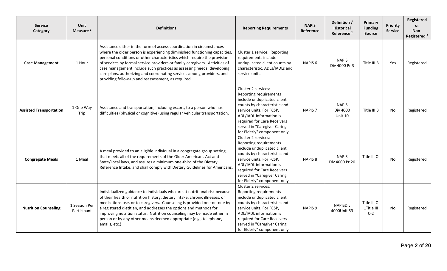| <b>Service</b><br>Category     | <b>Unit</b><br>Measure <sup>1</sup> | <b>Definitions</b>                                                                                                                                                                                                                                                                                                                                                                                                                                                                                                     | <b>Reporting Requirements</b>                                                                                                                                                                                                                                    | <b>NAPIS</b><br>Reference | Definition /<br><b>Historical</b><br>Reference <sup>2</sup> | Primary<br><b>Funding</b><br><b>Source</b> | Priority<br><b>Service</b> | Registered<br><b>or</b><br>Non-<br>Registered <sup>3</sup> |
|--------------------------------|-------------------------------------|------------------------------------------------------------------------------------------------------------------------------------------------------------------------------------------------------------------------------------------------------------------------------------------------------------------------------------------------------------------------------------------------------------------------------------------------------------------------------------------------------------------------|------------------------------------------------------------------------------------------------------------------------------------------------------------------------------------------------------------------------------------------------------------------|---------------------------|-------------------------------------------------------------|--------------------------------------------|----------------------------|------------------------------------------------------------|
| <b>Case Management</b>         | 1 Hour                              | Assistance either in the form of access coordination in circumstances<br>where the older person is experiencing diminished functioning capacities,<br>personal conditions or other characteristics which require the provision<br>of services by formal service providers or family caregivers. Activities of<br>case management include such practices as assessing needs, developing<br>care plans, authorizing and coordinating services among providers, and<br>providing follow-up and reassessment, as required. | Cluster 1 service: Reporting<br>requirements include<br>unduplicated client counts by<br>characteristic, ADLs/IADLs and<br>service units.                                                                                                                        | NAPIS <sub>6</sub>        | <b>NAPIS</b><br>Div 4000 Pr 3                               | Title III B                                | Yes                        | Registered                                                 |
| <b>Assisted Transportation</b> | 1 One Way<br>Trip                   | Assistance and transportation, including escort, to a person who has<br>difficulties (physical or cognitive) using regular vehicular transportation.                                                                                                                                                                                                                                                                                                                                                                   | Cluster 2 services:<br>Reporting requirements<br>include unduplicated client<br>counts by characteristic and<br>service units. For FCSP,<br>ADL/IADL information is<br>required for Care Receivers<br>served in "Caregiver Caring<br>for Elderly" component only | NAPIS <sub>7</sub>        | <b>NAPIS</b><br>Div 4000<br>Unit 10                         | Title III B                                | No                         | Registered                                                 |
| <b>Congregate Meals</b>        | 1 Meal                              | A meal provided to an eligible individual in a congregate group setting,<br>that meets all of the requirements of the Older Americans Act and<br>State/Local laws, and assures a minimum one-third of the Dietary<br>Reference Intake, and shall comply with Dietary Guidelines for Americans.                                                                                                                                                                                                                         | Cluster 2 services:<br>Reporting requirements<br>include unduplicated client<br>counts by characteristic and<br>service units. For FCSP,<br>ADL/IADL information is<br>required for Care Receivers<br>served in "Caregiver Caring<br>for Elderly" component only | <b>NAPIS 8</b>            | <b>NAPIS</b><br>Div 4000 Pr 20                              | Title III C-<br>-1                         | No                         | Registered                                                 |
| <b>Nutrition Counseling</b>    | 1 Session Per<br>Participant        | Individualized guidance to individuals who are at nutritional risk because<br>of their health or nutrition history, dietary intake, chronic illnesses, or<br>medications use, or to caregivers. Counseling is provided one-on-one by<br>a registered dietitian, and addresses the options and methods for<br>improving nutrition status. Nutrition counseling may be made either in<br>person or by any other means deemed appropriate (e.g., telephone,<br>emails, etc.)                                              | Cluster 2 services:<br>Reporting requirements<br>include unduplicated client<br>counts by characteristic and<br>service units. For FCSP,<br>ADL/IADL information is<br>required for Care Receivers<br>served in "Caregiver Caring<br>for Elderly" component only | NAPIS <sub>9</sub>        | NAPISDiv<br>4000Unit 53                                     | Title III C-<br>1Title III<br>$C-2$        | No                         | Registered                                                 |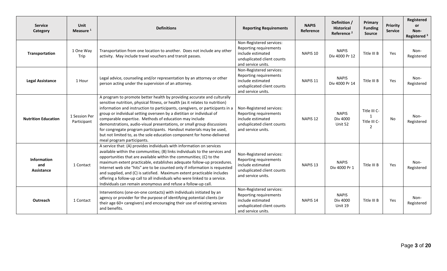| <b>Service</b><br>Category              | Unit<br>Measure <sup>1</sup> | <b>Definitions</b>                                                                                                                                                                                                                                                                                                                                                                                                                                                                                                                                                                                                                   | <b>Reporting Requirements</b>                                                                                               | <b>NAPIS</b><br>Reference | Definition /<br><b>Historical</b><br>Reference <sup>2</sup> | Primary<br><b>Funding</b><br><b>Source</b>        | Priority<br><b>Service</b> | Registered<br><b>or</b><br>Non-<br>Registered <sup>3</sup> |
|-----------------------------------------|------------------------------|--------------------------------------------------------------------------------------------------------------------------------------------------------------------------------------------------------------------------------------------------------------------------------------------------------------------------------------------------------------------------------------------------------------------------------------------------------------------------------------------------------------------------------------------------------------------------------------------------------------------------------------|-----------------------------------------------------------------------------------------------------------------------------|---------------------------|-------------------------------------------------------------|---------------------------------------------------|----------------------------|------------------------------------------------------------|
| Transportation                          | 1 One Way<br>Trip            | Transportation from one location to another. Does not include any other<br>activity. May include travel vouchers and transit passes.                                                                                                                                                                                                                                                                                                                                                                                                                                                                                                 | Non-Registered services:<br>Reporting requirements<br>include estimated<br>unduplicated client counts<br>and service units. | NAPIS <sub>10</sub>       | <b>NAPIS</b><br>Div 4000 Pr 12                              | Title III B                                       | Yes                        | Non-<br>Registered                                         |
| <b>Legal Assistance</b>                 | 1 Hour                       | Legal advice, counseling and/or representation by an attorney or other<br>person acting under the supervision of an attorney.                                                                                                                                                                                                                                                                                                                                                                                                                                                                                                        | Non-Registered services:<br>Reporting requirements<br>include estimated<br>unduplicated client counts<br>and service units. | NAPIS <sub>11</sub>       | <b>NAPIS</b><br>Div 4000 Pr 14                              | Title III B                                       | Yes                        | Non-<br>Registered                                         |
| <b>Nutrition Education</b>              | 1 Session Per<br>Participant | A program to promote better health by providing accurate and culturally<br>sensitive nutrition, physical fitness, or health (as it relates to nutrition)<br>information and instruction to participants, caregivers, or participants in a<br>group or individual setting overseen by a dietitian or individual of<br>comparable expertise. Methods of education may include<br>demonstrations, audio-visual presentations, or small group discussions<br>for congregate program participants. Handout materials may be used,<br>but not limited to, as the sole education component for home-delivered<br>meal program participants. | Non-Registered services:<br>Reporting requirements<br>include estimated<br>unduplicated client counts<br>and service units. | NAPIS <sub>12</sub>       | <b>NAPIS</b><br>Div 4000<br>Unit 52                         | Title III C-<br>$\mathbf{1}$<br>Title III C-<br>2 | No                         | Non-<br>Registered                                         |
| <b>Information</b><br>and<br>Assistance | 1 Contact                    | A service that: (A) provides individuals with information on services<br>available within the communities; (B) links individuals to the services and<br>opportunities that are available within the communities; (C) to the<br>maximum extent practicable, establishes adequate follow-up procedures.<br>Internet web site "hits" are to be counted only if information is requested<br>and supplied, and (C) is satisfied. Maximum extent practicable includes<br>offering a follow-up call to all individuals who were linked to a service.<br>Individuals can remain anonymous and refuse a follow-up call.                       | Non-Registered services:<br>Reporting requirements<br>include estimated<br>unduplicated client counts<br>and service units. | NAPIS <sub>13</sub>       | <b>NAPIS</b><br>Div 4000 Pr 1                               | Title III B                                       | Yes                        | Non-<br>Registered                                         |
| Outreach                                | 1 Contact                    | Interventions (one-on-one contacts) with individuals initiated by an<br>agency or provider for the purpose of identifying potential clients (or<br>their age 60+ caregivers) and encouraging their use of existing services<br>and benefits.                                                                                                                                                                                                                                                                                                                                                                                         | Non-Registered services:<br>Reporting requirements<br>include estimated<br>unduplicated client counts<br>and service units. | NAPIS <sub>14</sub>       | <b>NAPIS</b><br>Div 4000<br>Unit 19                         | Title III B                                       | Yes                        | Non-<br>Registered                                         |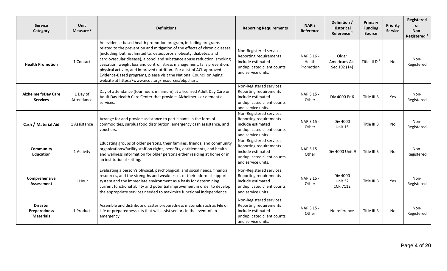| <b>Service</b><br>Category                                 | <b>Unit</b><br>Measure <sup>1</sup> | <b>Definitions</b>                                                                                                                                                                                                                                                                                                                                                                                                                                                                                                                                                                 | <b>Reporting Requirements</b>                                                                                               | <b>NAPIS</b><br>Reference               | Definition /<br><b>Historical</b><br>Reference <sup>2</sup> | Primary<br><b>Funding</b><br><b>Source</b> | <b>Priority</b><br><b>Service</b> | Registered<br><b>or</b><br>Non-<br>Registered <sup>3</sup> |
|------------------------------------------------------------|-------------------------------------|------------------------------------------------------------------------------------------------------------------------------------------------------------------------------------------------------------------------------------------------------------------------------------------------------------------------------------------------------------------------------------------------------------------------------------------------------------------------------------------------------------------------------------------------------------------------------------|-----------------------------------------------------------------------------------------------------------------------------|-----------------------------------------|-------------------------------------------------------------|--------------------------------------------|-----------------------------------|------------------------------------------------------------|
| <b>Health Promotion</b>                                    | 1 Contact                           | An evidence-based health promotion program, including programs<br>related to the prevention and mitigation of the effects of chronic disease<br>(including, but not limited to, osteoporosis, obesity, diabetes, and<br>cardiovascular disease), alcohol and substance abuse reduction, smoking<br>cessation, weight loss and control, stress management, falls prevention,<br>physical activity, and improved nutrition. For a list of ACL approved<br>Evidence-Based programs, please visit the National Council on Aging<br>website at https://www.ncoa.org/resources/ebpchart. | Non-Registered services:<br>Reporting requirements<br>include estimated<br>unduplicated client counts<br>and service units. | <b>NAPIS 16 -</b><br>Heath<br>Promotion | Older<br>Americans Act<br>Sec 102 (14)                      | Title III D $3$                            | No                                | Non-<br>Registered                                         |
| <b>Alzheimer'sDay Care</b><br><b>Services</b>              | 1 Day of<br>Attendance              | Day of attendance (four hours minimum) at a licensed Adult Day Care or<br>Adult Day Health Care Center that provides Alzheimer's or dementia<br>services.                                                                                                                                                                                                                                                                                                                                                                                                                          | Non-Registered services:<br>Reporting requirements<br>include estimated<br>unduplicated client counts<br>and service units. | <b>NAPIS 15 -</b><br>Other              | Div 4000 Pr 6                                               | Title III B                                | Yes                               | Non-<br>Registered                                         |
| Cash / Material Aid                                        | 1 Assistance                        | Arrange for and provide assistance to participants in the form of<br>commodities, surplus food distribution, emergency cash assistance, and<br>vouchers.                                                                                                                                                                                                                                                                                                                                                                                                                           | Non-Registered services:<br>Reporting requirements<br>include estimated<br>unduplicated client counts<br>and service units. | <b>NAPIS 15 -</b><br>Other              | Div 4000<br>Unit 15                                         | Title III B                                | No                                | Non-<br>Registered                                         |
| Community<br><b>Education</b>                              | 1 Activity                          | Educating groups of older persons, their families, friends, and community<br>organizations/facility staff on rights, benefits, entitlements, and health<br>and wellness information for older persons either residing at home or in<br>an institutional setting.                                                                                                                                                                                                                                                                                                                   | Non-Registered services:<br>Reporting requirements<br>include estimated<br>unduplicated client counts<br>and service units. | <b>NAPIS 15 -</b><br>Other              | Div 4000 Unit 9                                             | Title III B                                | No.                               | Non-<br>Registered                                         |
| Comprehensive<br><b>Assessment</b>                         | 1 Hour                              | Evaluating a person's physical, psychological, and social needs, financial<br>resources, and the strengths and weaknesses of their informal support<br>system and the immediate environment as a basis for determining<br>current functional ability and potential improvement in order to develop<br>the appropriate services needed to maximize functional independence.                                                                                                                                                                                                         | Non-Registered services:<br>Reporting requirements<br>include estimated<br>unduplicated client counts<br>and service units. | <b>NAPIS 15 -</b><br>Other              | Div 4000<br>Unit 32<br><b>CCR 7112</b>                      | Title III B                                | Yes                               | Non-<br>Registered                                         |
| <b>Disaster</b><br><b>Preparedness</b><br><b>Materials</b> | 1 Product                           | Assemble and distribute disaster preparedness materials such as File of<br>Life or preparedness kits that will assist seniors in the event of an<br>emergency.                                                                                                                                                                                                                                                                                                                                                                                                                     | Non-Registered services:<br>Reporting requirements<br>include estimated<br>unduplicated client counts<br>and service units. | <b>NAPIS 15 -</b><br>Other              | No reference                                                | Title III B                                | No                                | Non-<br>Registered                                         |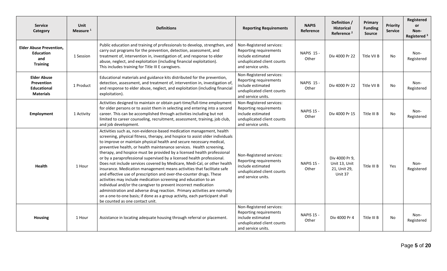| <b>Service</b><br>Category                                                   | <b>Unit</b><br>Measure <sup>1</sup> | <b>Definitions</b>                                                                                                                                                                                                                                                                                                                                                                                                                                                                                                                                                                                                                                                                                                                                                                                                                                                                                                                                                                                                          | <b>Reporting Requirements</b>                                                                                               | <b>NAPIS</b><br>Reference  | Definition /<br><b>Historical</b><br>Reference <sup>2</sup> | Primary<br><b>Funding</b><br><b>Source</b> | Priority<br><b>Service</b> | Registered<br><b>or</b><br>Non-<br>Registered <sup>3</sup> |
|------------------------------------------------------------------------------|-------------------------------------|-----------------------------------------------------------------------------------------------------------------------------------------------------------------------------------------------------------------------------------------------------------------------------------------------------------------------------------------------------------------------------------------------------------------------------------------------------------------------------------------------------------------------------------------------------------------------------------------------------------------------------------------------------------------------------------------------------------------------------------------------------------------------------------------------------------------------------------------------------------------------------------------------------------------------------------------------------------------------------------------------------------------------------|-----------------------------------------------------------------------------------------------------------------------------|----------------------------|-------------------------------------------------------------|--------------------------------------------|----------------------------|------------------------------------------------------------|
| <b>Elder Abuse Prevention.</b><br><b>Education</b><br>and<br><b>Training</b> | 1 Session                           | Public education and training of professionals to develop, strengthen, and<br>carry out programs for the prevention, detection, assessment, and<br>treatment of, intervention in, investigation of, and response to elder<br>abuse, neglect, and exploitation (including financial exploitation).<br>This includes training for Title III E caregivers.                                                                                                                                                                                                                                                                                                                                                                                                                                                                                                                                                                                                                                                                     | Non-Registered services:<br>Reporting requirements<br>include estimated<br>unduplicated client counts<br>and service units. | <b>NAPIS 15 -</b><br>Other | Div 4000 Pr 22                                              | Title VII B                                | No                         | Non-<br>Registered                                         |
| <b>Elder Abuse</b><br>Prevention<br><b>Educational</b><br><b>Materials</b>   | 1 Product                           | Educational materials and guidance kits distributed for the prevention,<br>detection, assessment, and treatment of, intervention in, investigation of,<br>and response to elder abuse, neglect, and exploitation (including financial<br>exploitation).                                                                                                                                                                                                                                                                                                                                                                                                                                                                                                                                                                                                                                                                                                                                                                     | Non-Registered services:<br>Reporting requirements<br>include estimated<br>unduplicated client counts<br>and service units. | <b>NAPIS 15 -</b><br>Other | Div 4000 Pr 22                                              | Title VII B                                | No                         | Non-<br>Registered                                         |
| Employment                                                                   | 1 Activity                          | Activities designed to maintain or obtain part-time/full-time employment<br>for older persons or to assist them in selecting and entering into a second<br>career. This can be accomplished through activities including but not<br>limited to career counseling, recruitment, assessment, training, job club,<br>and job development.                                                                                                                                                                                                                                                                                                                                                                                                                                                                                                                                                                                                                                                                                      | Non-Registered services:<br>Reporting requirements<br>include estimated<br>unduplicated client counts<br>and service units. | <b>NAPIS 15 -</b><br>Other | Div 4000 Pr 15                                              | Title III B                                | No                         | Non-<br>Registered                                         |
| <b>Health</b>                                                                | 1 Hour                              | Activities such as, non-evidence-based medication management, health<br>screening, physical fitness, therapy, and hospice to assist older individuals<br>to improve or maintain physical health and secure necessary medical,<br>preventive health, or health maintenance services. Health screening,<br>therapy, and hospice must be provided by a licensed health professional<br>or by a paraprofessional supervised by a licensed health professional.<br>Does not include services covered by Medicare, Medi-Cal, or other health<br>insurance. Medication management means activities that facilitate safe<br>and effective use of prescription and over-the-counter drugs. These<br>activities may include medication screening and education to an<br>individual and/or the caregiver to prevent incorrect medication<br>administration and adverse drug reaction. Primary activities are normally<br>on a one-to-one basis; if done as a group activity, each participant shall<br>be counted as one contact unit. | Non-Registered services:<br>Reporting requirements<br>include estimated<br>unduplicated client counts<br>and service units. | <b>NAPIS 15 -</b><br>Other | Div 4000 Pr 9,<br>Unit 13, Unit<br>21, Unit 29,<br>Unit 37  | Title III B                                | Yes                        | Non-<br>Registered                                         |
| <b>Housing</b>                                                               | 1 Hour                              | Assistance in locating adequate housing through referral or placement.                                                                                                                                                                                                                                                                                                                                                                                                                                                                                                                                                                                                                                                                                                                                                                                                                                                                                                                                                      | Non-Registered services:<br>Reporting requirements<br>include estimated<br>unduplicated client counts<br>and service units. | <b>NAPIS 15 -</b><br>Other | Div 4000 Pr 4                                               | Title III B                                | No                         | Non-<br>Registered                                         |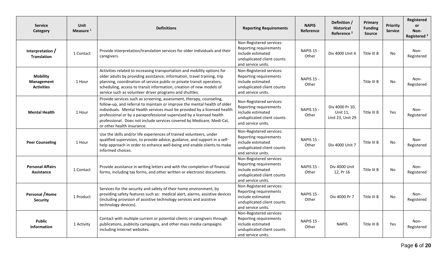| <b>Service</b><br>Category                         | <b>Unit</b><br>Measure <sup>1</sup> | <b>Definitions</b>                                                                                                                                                                                                                                                                                                                                                                                              | <b>Reporting Requirements</b>                                                                                               | <b>NAPIS</b><br>Reference  | Definition /<br><b>Historical</b><br>Reference <sup>2</sup> | Primary<br><b>Funding</b><br><b>Source</b> | <b>Priority</b><br><b>Service</b> | Registered<br><b>or</b><br>Non-<br>Registered <sup>3</sup> |
|----------------------------------------------------|-------------------------------------|-----------------------------------------------------------------------------------------------------------------------------------------------------------------------------------------------------------------------------------------------------------------------------------------------------------------------------------------------------------------------------------------------------------------|-----------------------------------------------------------------------------------------------------------------------------|----------------------------|-------------------------------------------------------------|--------------------------------------------|-----------------------------------|------------------------------------------------------------|
| Interpretation /<br><b>Translation</b>             | 1 Contact                           | Provide interpretation/translation services for older individuals and their<br>caregivers.                                                                                                                                                                                                                                                                                                                      | Non-Registered services:<br>Reporting requirements<br>include estimated<br>unduplicated client counts<br>and service units. | <b>NAPIS 15 -</b><br>Other | Div 4000 Unit 4                                             | Title III B                                | No                                | Non-<br>Registered                                         |
| <b>Mobility</b><br>Management<br><b>Activities</b> | 1 Hour                              | Activities related to increasing transportation and mobility options for<br>older adults by providing assistance, information, travel training, trip<br>planning, coordination of service public or private transit operators,<br>scheduling, access to transit information, creation of new models of<br>service such as volunteer driver programs and shuttles.                                               | Non-Registered services:<br>Reporting requirements<br>include estimated<br>unduplicated client counts<br>and service units. | <b>NAPIS 15 -</b><br>Other |                                                             | Title III B                                | No                                | Non-<br>Registered                                         |
| <b>Mental Health</b>                               | 1 Hour                              | Provide services such as screening, assessment, therapy, counseling,<br>follow-up, and referral to maintain or improve the mental health of older<br>individuals. Mental Health services must be provided by a licensed health<br>professional or by a paraprofessional supervised by a licensed health<br>professional. Does not include services covered by Medicare, Medi-Cal,<br>or other health insurance. | Non-Registered services:<br>Reporting requirements<br>include estimated<br>unduplicated client counts<br>and service units. | <b>NAPIS 15 -</b><br>Other | Div 4000 Pr 10,<br>Unit 11,<br>Unit 23, Unit 29             | Title III B                                | Yes                               | Non-<br>Registered                                         |
| <b>Peer Counseling</b>                             | 1 Hour                              | Use the skills and/or life experiences of trained volunteers, under<br>qualified supervision, to provide advice, guidance, and support in a self-<br>help approach in order to enhance well-being and enable clients to make<br>informed choices.                                                                                                                                                               | Non-Registered services:<br>Reporting requirements<br>include estimated<br>unduplicated client counts<br>and service units. | <b>NAPIS 15 -</b><br>Other | Div 4000 Unit 7                                             | Title III B                                | No                                | Non-<br>Registered                                         |
| <b>Personal Affairs</b><br>Assistance              | 1 Contact                           | Provide assistance in writing letters and with the completion of financial<br>forms, including tax forms, and other written or electronic documents.                                                                                                                                                                                                                                                            | Non-Registered services:<br>Reporting requirements<br>include estimated<br>unduplicated client counts<br>and service units. | <b>NAPIS 15 -</b><br>Other | Div 4000 Unit<br>12, Pr 16                                  | Title III B                                | No                                | Non-<br>Registered                                         |
| Personal / Home<br><b>Security</b>                 | 1 Product                           | Services for the security and safety of their home environment, by<br>providing safety features such as: medical alert, alarms, assistive devices<br>(including provision of assistive technology services and assistive<br>technology devices).                                                                                                                                                                | Non-Registered services:<br>Reporting requirements<br>include estimated<br>unduplicated client counts<br>and service units. | <b>NAPIS 15 -</b><br>Other | Div 4000 Pr 7                                               | Title III B                                | No                                | Non-<br>Registered                                         |
| <b>Public</b><br><b>Information</b>                | 1 Activity                          | Contact with multiple current or potential clients or caregivers through<br>publications, publicity campaigns, and other mass media campaigns<br>including Internet websites.                                                                                                                                                                                                                                   | Non-Registered services:<br>Reporting requirements<br>include estimated<br>unduplicated client counts<br>and service units. | <b>NAPIS 15 -</b><br>Other | <b>NAPIS</b>                                                | Title III B                                | Yes                               | Non-<br>Registered                                         |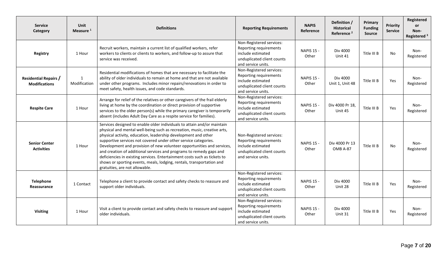| <b>Service</b><br>Category                           | <b>Unit</b><br>Measure <sup>1</sup> | <b>Definitions</b>                                                                                                                                                                                                                                                                                                                                                                                                                                                                                                                                                                                                                | <b>Reporting Requirements</b>                                                                                               | <b>NAPIS</b><br>Reference  | Definition /<br><b>Historical</b><br>Reference <sup>2</sup> | Primary<br><b>Funding</b><br><b>Source</b> | <b>Priority</b><br><b>Service</b> | Registered<br><b>or</b><br>Non-<br>Registered <sup>3</sup> |
|------------------------------------------------------|-------------------------------------|-----------------------------------------------------------------------------------------------------------------------------------------------------------------------------------------------------------------------------------------------------------------------------------------------------------------------------------------------------------------------------------------------------------------------------------------------------------------------------------------------------------------------------------------------------------------------------------------------------------------------------------|-----------------------------------------------------------------------------------------------------------------------------|----------------------------|-------------------------------------------------------------|--------------------------------------------|-----------------------------------|------------------------------------------------------------|
| Registry                                             | 1 Hour                              | Recruit workers, maintain a current list of qualified workers, refer<br>workers to clients or clients to workers, and follow-up to assure that<br>service was received.                                                                                                                                                                                                                                                                                                                                                                                                                                                           | Non-Registered services:<br>Reporting requirements<br>include estimated<br>unduplicated client counts<br>and service units. | <b>NAPIS 15 -</b><br>Other | Div 4000<br>Unit 41                                         | Title III B                                | No                                | Non-<br>Registered                                         |
| <b>Residential Repairs /</b><br><b>Modifications</b> | 1<br>Modification                   | Residential modifications of homes that are necessary to facilitate the<br>ability of older individuals to remain at home and that are not available<br>under other programs. Includes minor repairs/renovations in order to<br>meet safety, health issues, and code standards.                                                                                                                                                                                                                                                                                                                                                   | Non-Registered services:<br>Reporting requirements<br>include estimated<br>unduplicated client counts<br>and service units. | <b>NAPIS 15 -</b><br>Other | Div 4000<br>Unit 1, Unit 48                                 | Title III B                                | Yes                               | Non-<br>Registered                                         |
| <b>Respite Care</b>                                  | 1 Hour                              | Arrange for relief of the relatives or other caregivers of the frail elderly<br>living at home by the coordination or direct provision of supportive<br>services to the older person(s) while the primary caregiver is temporarily<br>absent (includes Adult Day Care as a respite service for families).                                                                                                                                                                                                                                                                                                                         | Non-Registered services:<br>Reporting requirements<br>include estimated<br>unduplicated client counts<br>and service units. | <b>NAPIS 15 -</b><br>Other | Div 4000 Pr 18,<br>Unit 45                                  | Title III B                                | Yes                               | Non-<br>Registered                                         |
| <b>Senior Center</b><br><b>Activities</b>            | 1 Hour                              | Services designed to enable older individuals to attain and/or maintain<br>physical and mental well-being such as recreation, music, creative arts,<br>physical activity, education, leadership development and other<br>supportive services not covered under other service categories.<br>Development and provision of new volunteer opportunities and services,<br>and creation of additional services and programs to remedy gaps and<br>deficiencies in existing services. Entertainment costs such as tickets to<br>shows or sporting events, meals, lodging, rentals, transportation and<br>gratuities, are not allowable. | Non-Registered services:<br>Reporting requirements<br>include estimated<br>unduplicated client counts<br>and service units. | <b>NAPIS 15 -</b><br>Other | Div 4000 Pr 13<br><b>OMB A-87</b>                           | Title III B                                | No                                | Non-<br>Registered                                         |
| <b>Telephone</b><br>Reassurance                      | 1 Contact                           | Telephone a client to provide contact and safety checks to reassure and<br>support older individuals.                                                                                                                                                                                                                                                                                                                                                                                                                                                                                                                             | Non-Registered services:<br>Reporting requirements<br>include estimated<br>unduplicated client counts<br>and service units. | <b>NAPIS 15 -</b><br>Other | Div 4000<br>Unit 28                                         | Title III B                                | Yes                               | Non-<br>Registered                                         |
| <b>Visiting</b>                                      | 1 Hour                              | Visit a client to provide contact and safety checks to reassure and support<br>older individuals.                                                                                                                                                                                                                                                                                                                                                                                                                                                                                                                                 | Non-Registered services:<br>Reporting requirements<br>include estimated<br>unduplicated client counts<br>and service units. | <b>NAPIS 15 -</b><br>Other | Div 4000<br>Unit 31                                         | Title III B                                | Yes                               | Non-<br>Registered                                         |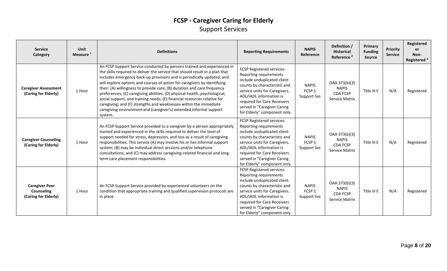### **FCSP - Caregiver Caring for Elderly** Support Services

| <b>Service</b><br><b>Category</b>                                  | Unit<br>Measure <sup>1</sup> | <b>Definitions</b>                                                                                                                                                                                                                                                                                                                                                                                                                                                                                                                                                                                                                                                                                       | <b>Reporting Requirements</b>                                                                                                                                                                                                                                                | <b>NAPIS</b><br>Reference                               | Definition /<br><b>Historical</b><br>Reference <sup>2</sup>        | Primary<br><b>Funding</b><br><b>Source</b> | <b>Priority</b><br><b>Service</b> | Registered<br>or<br>Non-<br>Registered <sup>3</sup> |
|--------------------------------------------------------------------|------------------------------|----------------------------------------------------------------------------------------------------------------------------------------------------------------------------------------------------------------------------------------------------------------------------------------------------------------------------------------------------------------------------------------------------------------------------------------------------------------------------------------------------------------------------------------------------------------------------------------------------------------------------------------------------------------------------------------------------------|------------------------------------------------------------------------------------------------------------------------------------------------------------------------------------------------------------------------------------------------------------------------------|---------------------------------------------------------|--------------------------------------------------------------------|--------------------------------------------|-----------------------------------|-----------------------------------------------------|
| <b>Caregiver Assessment</b><br>(Caring for Elderly)                | 1 Hour                       | An FCSP Support Service conducted by persons trained and experienced in<br>the skills required to deliver the service that should result in a plan that<br>includes emergency back-up provisions and is periodically updated; and<br>will explore options and courses of action for caregivers by identifying<br>their: (A) willingness to provide care; (B) duration and care frequency<br>preferences; (C) caregiving abilities; (D) physical health, psychological,<br>social support, and training needs; (E) financial resources relative for<br>caregiving; and (F) strengths and weaknesses within the immediate<br>caregiving environment and (caregiver's) extended informal support<br>system. | FCSP Registered services:<br>Reporting requirements<br>include unduplicated client<br>counts by characteristic and<br>service units for Caregivers.<br>ADL/IADL information is<br>required for Care Receivers<br>served in "Caregiver Caring<br>for Elderly" component only. | <b>NAPIS</b><br>FCSP 1<br><b>Support Svs</b>            | OAA 373(b)(3)<br><b>NAPIS</b><br><b>CDA FCSP</b><br>Service Matrix | Title III E                                | N/A                               | Registered                                          |
| <b>Caregiver Counseling</b><br>(Caring for Elderly)                | 1 Hour                       | An FCSP Support Service provided to a caregiver by a person appropriately<br>trained and experienced in the skills required to deliver the level of<br>support needed for stress, depression, and loss as a result of caregiving<br>responsibilities. This service (A) may involve his or her informal support<br>system; (B) may be individual direct sessions and/or telephone<br>consultations, and (C) may address caregiving-related financial and long-<br>term care placement responsibilities.                                                                                                                                                                                                   | FCSP Registered services:<br>Reporting requirements<br>include unduplicated client<br>counts by characteristic and<br>service units for Caregivers.<br>ADL/IADL information is<br>required for Care Receivers<br>served in "Caregiver Caring<br>for Elderly" component only. | <b>NAPIS</b><br>FCSP 1<br><b>Support Svs</b>            | OAA 373(b)(3)<br><b>NAPIS</b><br><b>CDA FCSP</b><br>Service Matrix | Title III E                                | N/A                               | Registered                                          |
| <b>Caregiver Peer</b><br><b>Counseling</b><br>(Caring for Elderly) | 1 Hour                       | An FCSP Support Service provided by experienced volunteers on the<br>condition that appropriate training and qualified supervision protocols are<br>in place.                                                                                                                                                                                                                                                                                                                                                                                                                                                                                                                                            | FCSP Registered services:<br>Reporting requirements<br>include unduplicated client<br>counts by characteristic and<br>service units for Caregivers.<br>ADL/IADL information is<br>required for Care Receivers<br>served in "Caregiver Caring<br>for Elderly" component only. | <b>NAPIS</b><br>FCSP <sub>1</sub><br><b>Support Svs</b> | OAA 373(b)(3)<br><b>NAPIS</b><br><b>CDA FCSP</b><br>Service Matrix | Title III E                                | N/A                               | Registered                                          |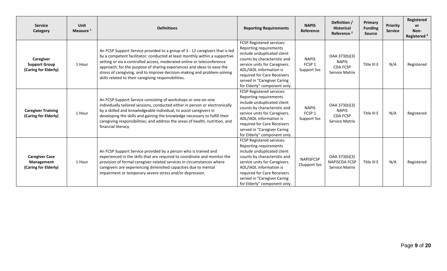| <b>Service</b><br>Category                                       | Unit<br>Measure <sup>1</sup> | <b>Definitions</b>                                                                                                                                                                                                                                                                                                                                                                                                                                 | <b>Reporting Requirements</b>                                                                                                                                                                                                                                                | <b>NAPIS</b><br>Reference                    | Definition /<br><b>Historical</b><br>Reference <sup>2</sup>        | Primary<br><b>Funding</b><br><b>Source</b> | Priority<br><b>Service</b> | Registered<br><b>or</b><br>Non-<br>Registered <sup>3</sup> |
|------------------------------------------------------------------|------------------------------|----------------------------------------------------------------------------------------------------------------------------------------------------------------------------------------------------------------------------------------------------------------------------------------------------------------------------------------------------------------------------------------------------------------------------------------------------|------------------------------------------------------------------------------------------------------------------------------------------------------------------------------------------------------------------------------------------------------------------------------|----------------------------------------------|--------------------------------------------------------------------|--------------------------------------------|----------------------------|------------------------------------------------------------|
| <b>Caregiver</b><br><b>Support Group</b><br>(Caring for Elderly) | 1 Hour                       | An FCSP Support Service provided to a group of 3 - 12 caregivers that is led<br>by a competent facilitator; conducted at least monthly within a supportive<br>setting or via a controlled access, moderated online or teleconference<br>approach; for the purpose of sharing experiences and ideas to ease the<br>stress of caregiving, and to improve decision-making and problem-solving<br>skills related to their caregiving responsibilities. | FCSP Registered services:<br>Reporting requirements<br>include unduplicated client<br>counts by characteristic and<br>service units for Caregivers.<br>ADL/IADL information is<br>required for Care Receivers<br>served in "Caregiver Caring<br>for Elderly" component only. | <b>NAPIS</b><br>FCSP 1<br>Support Svs        | OAA 373(b)(3)<br><b>NAPIS</b><br><b>CDA FCSP</b><br>Service Matrix | Title III E                                | N/A                        | Registered                                                 |
| <b>Caregiver Training</b><br>(Caring for Elderly)                | 1 Hour                       | An FCSP Support Service consisting of workshops or one-on-one<br>individually tailored sessions, conducted either in person or electronically<br>by a skilled and knowledgeable individual, to assist caregivers in<br>developing the skills and gaining the knowledge necessary to fulfill their<br>caregiving responsibilities; and address the areas of health, nutrition, and<br>financial literacy.                                           | FCSP Registered services:<br>Reporting requirements<br>include unduplicated client<br>counts by characteristic and<br>service units for Caregivers.<br>ADL/IADL information is<br>required for Care Receivers<br>served in "Caregiver Caring<br>for Elderly" component only. | <b>NAPIS</b><br>FCSP 1<br><b>Support Svs</b> | OAA 373(b)(3)<br><b>NAPIS</b><br><b>CDA FCSP</b><br>Service Matrix | Title III E                                | N/A                        | Registered                                                 |
| <b>Caregiver Case</b><br>Management<br>(Caring for Elderly)      | 1 Hour                       | An FCSP Support Service provided by a person who is trained and<br>experienced in the skills that are required to coordinate and monitor the<br>provision of formal caregiver-related services in circumstances where<br>caregivers are experiencing diminished capacities due to mental<br>impairment or temporary severe stress and/or depression.                                                                                               | FCSP Registered services:<br>Reporting requirements<br>include unduplicated client<br>counts by characteristic and<br>service units for Caregivers.<br>ADL/IADL information is<br>required for Care Receivers<br>served in "Caregiver Caring<br>for Elderly" component only. | <b>NAPISFCSP</b><br>1Support Svs             | OAA 373(b)(3)<br><b>NAPISCDA FCSP</b><br><b>Service Matrix</b>     | Title III E                                | N/A                        | Registered                                                 |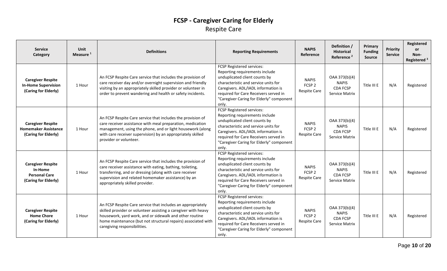### **FCSP - Caregiver Caring for Elderly** Respite Care

| <b>Service</b><br>Category                                                          | Unit<br>Measure <sup>1</sup> | <b>Definitions</b>                                                                                                                                                                                                                                                                        | <b>Reporting Requirements</b>                                                                                                                                                                                                                                             | <b>NAPIS</b><br><b>Reference</b>                         | Definition /<br><b>Historical</b><br>Reference <sup>2</sup>        | Primary<br><b>Funding</b><br><b>Source</b> | <b>Priority</b><br><b>Service</b> | Registered<br>or<br>Non-<br>Registered <sup>3</sup> |
|-------------------------------------------------------------------------------------|------------------------------|-------------------------------------------------------------------------------------------------------------------------------------------------------------------------------------------------------------------------------------------------------------------------------------------|---------------------------------------------------------------------------------------------------------------------------------------------------------------------------------------------------------------------------------------------------------------------------|----------------------------------------------------------|--------------------------------------------------------------------|--------------------------------------------|-----------------------------------|-----------------------------------------------------|
| <b>Caregiver Respite</b><br><b>In-Home Supervision</b><br>(Caring for Elderly)      | 1 Hour                       | An FCSP Respite Care service that includes the provision of<br>care receiver day and/or overnight supervision and friendly<br>visiting by an appropriately skilled provider or volunteer in<br>order to prevent wandering and health or safety incidents.                                 | FCSP Registered services:<br>Reporting requirements include<br>unduplicated client counts by<br>characteristic and service units for<br>Caregivers. ADL/IADL information is<br>required for Care Receivers served in<br>"Caregiver Caring for Elderly" component<br>only. | <b>NAPIS</b><br>FCSP <sub>2</sub><br>Respite Care        | OAA 373(b)(4)<br><b>NAPIS</b><br><b>CDA FCSP</b><br>Service Matrix | Title III E                                | N/A                               | Registered                                          |
| <b>Caregiver Respite</b><br><b>Homemaker Assistance</b><br>(Caring for Elderly)     | 1 Hour                       | An FCSP Respite Care service that includes the provision of<br>care receiver assistance with meal preparation, medication<br>management, using the phone, and or light housework (along<br>with care receiver supervision) by an appropriately skilled<br>provider or volunteer.          | FCSP Registered services:<br>Reporting requirements include<br>unduplicated client counts by<br>characteristic and service units for<br>Caregivers. ADL/IADL information is<br>required for Care Receivers served in<br>"Caregiver Caring for Elderly" component<br>only. | <b>NAPIS</b><br>FCSP <sub>2</sub><br>Respite Care        | OAA 373(b)(4)<br><b>NAPIS</b><br><b>CDA FCSP</b><br>Service Matrix | Title III E                                | N/A                               | Registered                                          |
| <b>Caregiver Respite</b><br>In-Home<br><b>Personal Care</b><br>(Caring for Elderly) | 1 Hour                       | An FCSP Respite Care service that includes the provision of<br>care receiver assistance with eating, bathing, toileting,<br>transferring, and or dressing (along with care receiver<br>supervision and related homemaker assistance) by an<br>appropriately skilled provider.             | FCSP Registered services:<br>Reporting requirements include<br>unduplicated client counts by<br>characteristic and service units for<br>Caregivers. ADL/IADL information is<br>required for Care Receivers served in<br>"Caregiver Caring for Elderly" component<br>only. | <b>NAPIS</b><br>FCSP <sub>2</sub><br><b>Respite Care</b> | OAA 373(b)(4)<br><b>NAPIS</b><br><b>CDA FCSP</b><br>Service Matrix | Title III E                                | N/A                               | Registered                                          |
| <b>Caregiver Respite</b><br><b>Home Chore</b><br>(Caring for Elderly)               | 1 Hour                       | An FCSP Respite Care service that includes an appropriately<br>skilled provider or volunteer assisting a caregiver with heavy<br>housework, yard work, and or sidewalk and other routine<br>home maintenance (but not structural repairs) associated with<br>caregiving responsibilities. | FCSP Registered services:<br>Reporting requirements include<br>unduplicated client counts by<br>characteristic and service units for<br>Caregivers. ADL/IADL information is<br>required for Care Receivers served in<br>"Caregiver Caring for Elderly" component<br>only. | <b>NAPIS</b><br>FCSP <sub>2</sub><br><b>Respite Care</b> | OAA 373(b)(4)<br><b>NAPIS</b><br><b>CDA FCSP</b><br>Service Matrix | Title III E                                | N/A                               | Registered                                          |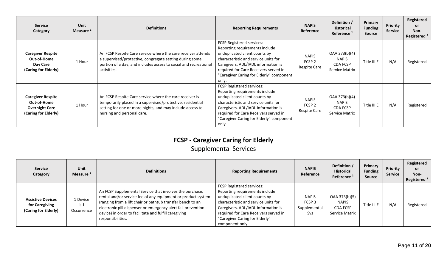| <b>Service</b><br>Category                                                               | <b>Unit</b><br>Measure <sup>1</sup> | <b>Definitions</b>                                                                                                                                                                                               | <b>Reporting Requirements</b>                                                                                                                                                                                                                                             | <b>NAPIS</b><br>Reference                                | Definition /<br><b>Historical</b><br>Reference <sup>2</sup>        | Primary<br><b>Funding</b><br>Source | Priority<br><b>Service</b> | Registered<br><b>or</b><br>Non-<br>Registered <sup>3</sup> |
|------------------------------------------------------------------------------------------|-------------------------------------|------------------------------------------------------------------------------------------------------------------------------------------------------------------------------------------------------------------|---------------------------------------------------------------------------------------------------------------------------------------------------------------------------------------------------------------------------------------------------------------------------|----------------------------------------------------------|--------------------------------------------------------------------|-------------------------------------|----------------------------|------------------------------------------------------------|
| <b>Caregiver Respite</b><br>Out-of-Home<br>Day Care<br>(Caring for Elderly)              | 1 Hour                              | An FCSP Respite Care service where the care receiver attends<br>a supervised/protective, congregate setting during some<br>portion of a day, and includes assess to social and recreational<br>activities.       | FCSP Registered services:<br>Reporting requirements include<br>unduplicated client counts by<br>characteristic and service units for<br>Caregivers. ADL/IADL information is<br>required for Care Receivers served in<br>"Caregiver Caring for Elderly" component<br>only. | <b>NAPIS</b><br>FCSP <sub>2</sub><br><b>Respite Care</b> | OAA 373(b)(4)<br><b>NAPIS</b><br><b>CDA FCSP</b><br>Service Matrix | Title III E                         | N/A                        | Registered                                                 |
| <b>Caregiver Respite</b><br>Out-of-Home<br><b>Overnight Care</b><br>(Caring for Elderly) | 1 Hour                              | An FCSP Respite Care service where the care receiver is<br>temporarily placed in a supervised/protective, residential<br>setting for one or more nights, and may include access to<br>nursing and personal care. | FCSP Registered services:<br>Reporting requirements include<br>unduplicated client counts by<br>characteristic and service units for<br>Caregivers. ADL/IADL information is<br>required for Care Receivers served in<br>"Caregiver Caring for Elderly" component<br>only. | <b>NAPIS</b><br>FCSP <sub>2</sub><br><b>Respite Care</b> | OAA 373(b)(4)<br><b>NAPIS</b><br><b>CDA FCSP</b><br>Service Matrix | Title III E                         | N/A                        | Registered                                                 |

### **FCSP - Caregiver Caring for Elderly**

## Supplemental Services

| <b>Service</b><br>Category                                         | <b>Unit</b><br>Measure <sup>1</sup> | <b>Definitions</b>                                                                                                                                                                                                                                                                                                                   | <b>Reporting Requirements</b>                                                                                                                                                                                                                                                    | <b>NAPIS</b><br>Reference                                       | Definition /<br><b>Historical</b><br>Reference <sup>2</sup> | Primary<br><b>Funding</b><br>Source | Priority<br><b>Service</b> | Registered<br><b>or</b><br>Non-<br>Registered $3$ |
|--------------------------------------------------------------------|-------------------------------------|--------------------------------------------------------------------------------------------------------------------------------------------------------------------------------------------------------------------------------------------------------------------------------------------------------------------------------------|----------------------------------------------------------------------------------------------------------------------------------------------------------------------------------------------------------------------------------------------------------------------------------|-----------------------------------------------------------------|-------------------------------------------------------------|-------------------------------------|----------------------------|---------------------------------------------------|
| <b>Assistive Devices</b><br>for Caregiving<br>(Caring for Elderly) | 1 Device<br>is 1<br>Occurrence      | An FCSP Supplemental Service that involves the purchase,<br>rental and/or service fee of any equipment or product system<br>(ranging from a lift chair or bathtub transfer bench to an<br>electronic pill dispenser or emergency alert fall prevention<br>device) in order to facilitate and fulfill caregiving<br>responsibilities. | <b>FCSP Registered services:</b><br>Reporting requirements include<br>unduplicated client counts by<br>characteristic and service units for<br>Caregivers. ADL/IADL information is<br>required for Care Receivers served in<br>"Caregiver Caring for Elderly"<br>component only. | <b>NAPIS</b><br>FCSP <sub>3</sub><br>Supplemental<br><b>Svs</b> | OAA 373(b)(5)<br><b>NAPIS</b><br>CDA FCSP<br>Service Matrix | Title III E                         | N/A                        | Registered                                        |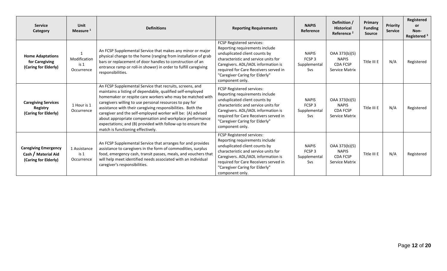| <b>Service</b><br>Category                                                 | <b>Unit</b><br>Measure <sup>1</sup>           | <b>Definitions</b>                                                                                                                                                                                                                                                                                                                                                                                                                                                                                                                           | <b>NAPIS</b><br><b>Reporting Requirements</b><br>Reference                                                                                                                                                                                                                                                                            |                                                                 | Definition /<br><b>Historical</b><br>Reference <sup>2</sup>        | <b>Primary</b><br><b>Funding</b><br><b>Source</b> | <b>Priority</b><br><b>Service</b> | Registered<br><b>or</b><br>Non-<br>Registered <sup>3</sup> |
|----------------------------------------------------------------------------|-----------------------------------------------|----------------------------------------------------------------------------------------------------------------------------------------------------------------------------------------------------------------------------------------------------------------------------------------------------------------------------------------------------------------------------------------------------------------------------------------------------------------------------------------------------------------------------------------------|---------------------------------------------------------------------------------------------------------------------------------------------------------------------------------------------------------------------------------------------------------------------------------------------------------------------------------------|-----------------------------------------------------------------|--------------------------------------------------------------------|---------------------------------------------------|-----------------------------------|------------------------------------------------------------|
| <b>Home Adaptations</b><br>for Caregiving<br>(Caring for Elderly)          | Modification<br>is <sub>1</sub><br>Occurrence | An FCSP Supplemental Service that makes any minor or major<br>physical change to the home (ranging from installation of grab<br>bars or replacement of door handles to construction of an<br>entrance ramp or roll-in shower) in order to fulfill caregiving<br>responsibilities.                                                                                                                                                                                                                                                            | FCSP Registered services:<br>Reporting requirements include<br>unduplicated client counts by<br>characteristic and service units for<br>Caregivers. ADL/IADL information is<br>required for Care Receivers served in<br>"Caregiver Caring for Elderly"<br>component only.                                                             | <b>NAPIS</b><br>FCSP <sub>3</sub><br>Supplemental<br>Svs        |                                                                    | Title III E                                       | N/A                               | Registered                                                 |
| <b>Caregiving Services</b><br><b>Registry</b><br>(Caring for Elderly)      | 1 Hour is 1<br>Occurrence                     | An FCSP Supplemental Service that recruits, screens, and<br>maintains a listing of dependable, qualified self-employed<br>homemaker or respite care workers who may be matched with<br>caregivers willing to use personal resources to pay for<br>assistance with their caregiving responsibilities. Both the<br>caregiver and the self-employed worker will be: (A) advised<br>about appropriate compensation and workplace performance<br>expectations; and (B) provided with follow-up to ensure the<br>match is functioning effectively. | FCSP Registered services:<br>Reporting requirements include<br>unduplicated client counts by<br><b>NAPIS</b><br>FCSP <sub>3</sub><br>characteristic and service units for<br>Caregivers. ADL/IADL information is<br>Supplemental<br>required for Care Receivers served in<br>Svs<br>"Caregiver Caring for Elderly"<br>component only. |                                                                 | OAA 373(b)(5)<br><b>NAPIS</b><br><b>CDA FCSP</b><br>Service Matrix | Title III E                                       | N/A                               | Registered                                                 |
| <b>Caregiving Emergency</b><br>Cash / Material Aid<br>(Caring for Elderly) | 1 Assistance<br>is <sub>1</sub><br>Occurrence | An FCSP Supplemental Service that arranges for and provides<br>assistance to caregivers in the form of commodities, surplus<br>food, emergency cash, transit passes, meals, and vouchers that<br>will help meet identified needs associated with an individual<br>caregiver's responsibilities.                                                                                                                                                                                                                                              | FCSP Registered services:<br>Reporting requirements include<br>unduplicated client counts by<br>characteristic and service units for<br>Caregivers. ADL/IADL information is<br>required for Care Receivers served in<br>"Caregiver Caring for Elderly"<br>component only.                                                             | <b>NAPIS</b><br>FCSP <sub>3</sub><br>Supplemental<br><b>Svs</b> | OAA 373(b)(5)<br><b>NAPIS</b><br><b>CDA FCSP</b><br>Service Matrix | Title III E                                       | N/A                               | Registered                                                 |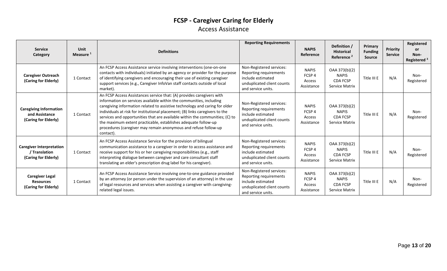### **FCSP - Caregiver Caring for Elderly** Access Assistance

| <b>Service</b><br>Category                                               | Unit<br>Measure <sup>1</sup> | <b>Definitions</b>                                                                                                                                                                                                                                                                                                                                                                                                                                                                                                                            | <b>Reporting Requirements</b>                                                                                               | <b>NAPIS</b><br>Reference                                 | Definition /<br><b>Historical</b><br>Reference <sup>2</sup>        | Primary<br><b>Funding</b><br><b>Source</b> | Priority<br><b>Service</b> | Registered<br><b>or</b><br>Non-<br>Registered <sup>3</sup> |
|--------------------------------------------------------------------------|------------------------------|-----------------------------------------------------------------------------------------------------------------------------------------------------------------------------------------------------------------------------------------------------------------------------------------------------------------------------------------------------------------------------------------------------------------------------------------------------------------------------------------------------------------------------------------------|-----------------------------------------------------------------------------------------------------------------------------|-----------------------------------------------------------|--------------------------------------------------------------------|--------------------------------------------|----------------------------|------------------------------------------------------------|
| <b>Caregiver Outreach</b><br>(Caring for Elderly)                        | 1 Contact                    | An FCSP Access Assistance service involving interventions (one-on-one<br>contacts with individuals) initiated by an agency or provider for the purpose<br>of identifying caregivers and encouraging their use of existing caregiver<br>support services (e.g., Caregiver InfoVan staff contacts outside of local<br>market).                                                                                                                                                                                                                  | Non-Registered services:<br>Reporting requirements<br>include estimated<br>unduplicated client counts<br>and service units. | <b>NAPIS</b><br>FCSP <sub>4</sub><br>Access<br>Assistance | OAA 373(b)(2)<br><b>NAPIS</b><br><b>CDA FCSP</b><br>Service Matrix | Title III E                                | N/A                        | Non-<br>Registered                                         |
| <b>Caregiving Information</b><br>and Assistance<br>(Caring for Elderly)  | 1 Contact                    | An FCSP Access Assistances service that: (A) provides caregivers with<br>information on services available within the communities, including<br>caregiving information related to assistive technology and caring for older<br>individuals at risk for institutional placement; (B) links caregivers to the<br>services and opportunities that are available within the communities; (C) to<br>the maximum extent practicable, establishes adequate follow-up<br>procedures (caregiver may remain anonymous and refuse follow-up<br>contact). | Non-Registered services:<br>Reporting requirements<br>include estimated<br>unduplicated client counts<br>and service units. | <b>NAPIS</b><br>FCSP <sub>4</sub><br>Access<br>Assistance | OAA 373(b)(2)<br><b>NAPIS</b><br><b>CDA FCSP</b><br>Service Matrix | Title III E                                | N/A                        | Non-<br>Registered                                         |
| <b>Caregiver Interpretation</b><br>/ Translation<br>(Caring for Elderly) | 1 Contact                    | An FCSP Access Assistance Service for the provision of bilingual<br>communication assistance to a caregiver in order to access assistance and<br>receive support for his or her caregiving responsibilities (e.g., staff<br>interpreting dialogue between caregiver and care consultant staff<br>translating an elder's prescription drug label for his caregiver).                                                                                                                                                                           | Non-Registered services:<br>Reporting requirements<br>include estimated<br>unduplicated client counts<br>and service units. | <b>NAPIS</b><br>FCSP <sub>4</sub><br>Access<br>Assistance | OAA 373(b)(2)<br><b>NAPIS</b><br><b>CDA FCSP</b><br>Service Matrix | Title III E                                | N/A                        | Non-<br>Registered                                         |
| <b>Caregiver Legal</b><br><b>Resources</b><br>(Caring for Elderly)       | 1 Contact                    | An FCSP Access Assistance Service involving one-to-one guidance provided<br>by an attorney (or person under the supervision of an attorney) in the use<br>of legal resources and services when assisting a caregiver with caregiving-<br>related legal issues.                                                                                                                                                                                                                                                                                | Non-Registered services:<br>Reporting requirements<br>include estimated<br>unduplicated client counts<br>and service units. | <b>NAPIS</b><br>FCSP <sub>4</sub><br>Access<br>Assistance | OAA 373(b)(2)<br><b>NAPIS</b><br><b>CDA FCSP</b><br>Service Matrix | Title III E                                | N/A                        | Non-<br>Registered                                         |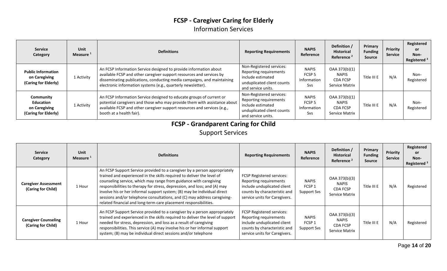### **FCSP - Caregiver Caring for Elderly** Information Services

| <b>Service</b><br>Category                                             | <b>Unit</b><br>Measure <sup>1</sup> | <b>Definitions</b>                                                                                                                                                                                                                                                                   | <b>Reporting Requirements</b>                                                                                               | <b>NAPIS</b><br>Reference                                      | Definition /<br><b>Historical</b><br>Reference <sup>2</sup>        | Primary<br><b>Funding</b><br>Source | Priority<br><b>Service</b> | Registered<br><b>or</b><br>Non-<br>Registered <sup>3</sup> |
|------------------------------------------------------------------------|-------------------------------------|--------------------------------------------------------------------------------------------------------------------------------------------------------------------------------------------------------------------------------------------------------------------------------------|-----------------------------------------------------------------------------------------------------------------------------|----------------------------------------------------------------|--------------------------------------------------------------------|-------------------------------------|----------------------------|------------------------------------------------------------|
| <b>Public Information</b><br>on Caregiving<br>(Caring for Elderly)     | 1 Activity                          | An FCSP Information Service designed to provide information about<br>available FCSP and other caregiver support resources and services by<br>disseminating publications, conducting media campaigns, and maintaining<br>electronic information systems (e.g., quarterly newsletter). | Non-Registered services:<br>Reporting requirements<br>include estimated<br>unduplicated client counts<br>and service units. | <b>NAPIS</b><br>FCSP <sub>5</sub><br>Information<br><b>Svs</b> | OAA 373(b)(1)<br><b>NAPIS</b><br><b>CDA FCSP</b><br>Service Matrix | Title III E                         | N/A                        | Non-<br>Registered                                         |
| Community<br><b>Education</b><br>on Caregiving<br>(Caring for Elderly) | 1 Activity                          | An FCSP Information Service designed to educate groups of current or<br>potential caregivers and those who may provide them with assistance about<br>available FCSP and other caregiver support resources and services (e.g.,<br>booth at a health fair).                            | Non-Registered services:<br>Reporting requirements<br>include estimated<br>unduplicated client counts<br>and service units. | <b>NAPIS</b><br>FCSP <sub>5</sub><br>Information<br><b>Svs</b> | OAA 373(b)(1)<br><b>NAPIS</b><br><b>CDA FCSP</b><br>Service Matrix | Title III E                         | N/A                        | Non-<br>Registered                                         |

### **FCSP - Grandparent Caring for Child**

Support Services

| <b>Service</b><br>Category                        | Unit<br>Measure <sup>1</sup> | <b>Definitions</b>                                                                                                                                                                                                                                                                                                                                                                                                                                                                                                                | <b>Reporting Requirements</b>                                                                                                                              | <b>NAPIS</b><br><b>Reference</b>                        | Definition /<br><b>Historical</b><br>Reference <sup>2</sup>        | Primary<br><b>Funding</b><br>Source | <b>Priority</b><br><b>Service</b> | Registered<br><b>or</b><br>Non-<br>Registered <sup>3</sup> |
|---------------------------------------------------|------------------------------|-----------------------------------------------------------------------------------------------------------------------------------------------------------------------------------------------------------------------------------------------------------------------------------------------------------------------------------------------------------------------------------------------------------------------------------------------------------------------------------------------------------------------------------|------------------------------------------------------------------------------------------------------------------------------------------------------------|---------------------------------------------------------|--------------------------------------------------------------------|-------------------------------------|-----------------------------------|------------------------------------------------------------|
| <b>Caregiver Assessment</b><br>(Caring for Child) | 1 Hour                       | An FCSP Support Service provided to a caregiver by a person appropriately<br>trained and experienced in the skills required to deliver the level of<br>counseling service, which may range from guidance with caregiving<br>responsibilities to therapy for stress, depression, and loss; and (A) may<br>involve his or her informal support system; (B) may be individual direct<br>sessions and/or telephone consultations, and (C) may address caregiving-<br>related financial and long-term care placement responsibilities. | <b>FCSP Registered services:</b><br>Reporting requirements<br>include unduplicated client<br>counts by characteristic and<br>service units for Caregivers. | <b>NAPIS</b><br>FCSP <sub>1</sub><br><b>Support Svs</b> | OAA 373(b)(3)<br><b>NAPIS</b><br><b>CDA FCSP</b><br>Service Matrix | Title III E                         | N/A                               | Registered                                                 |
| <b>Caregiver Counseling</b><br>(Caring for Child) | 1 Hour                       | An FCSP Support Service provided to a caregiver by a person appropriately<br>trained and experienced in the skills required to deliver the level of support<br>needed for stress, depression, and loss as a result of caregiving<br>responsibilities. This service (A) may involve his or her informal support<br>system; (B) may be individual direct sessions and/or telephone                                                                                                                                                  | <b>FCSP Registered services:</b><br>Reporting requirements<br>include unduplicated client<br>counts by characteristic and<br>service units for Caregivers. | <b>NAPIS</b><br>FCSP 1<br><b>Support Svs</b>            | OAA 373(b)(3)<br>NAPIS<br><b>CDA FCSP</b><br>Service Matrix        | Title III E                         | N/A                               | Registered                                                 |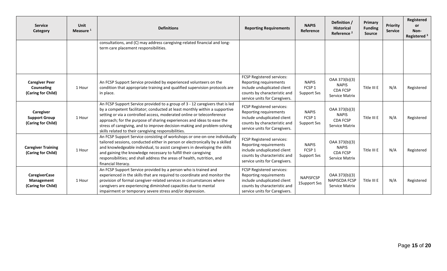| <b>Service</b><br>Category                                       | Unit<br>Measure <sup>1</sup> | <b>Definitions</b>                                                                                                                                                                                                                                                                                                                                                                                                                                 | <b>Reporting Requirements</b>                                                                                                                       | <b>NAPIS</b><br>Reference                               | Definition /<br><b>Historical</b><br>Reference <sup>2</sup>               | Primary<br><b>Funding</b><br><b>Source</b> | Priority<br><b>Service</b> | Registered<br>or<br>Non-<br>Registered <sup>3</sup> |
|------------------------------------------------------------------|------------------------------|----------------------------------------------------------------------------------------------------------------------------------------------------------------------------------------------------------------------------------------------------------------------------------------------------------------------------------------------------------------------------------------------------------------------------------------------------|-----------------------------------------------------------------------------------------------------------------------------------------------------|---------------------------------------------------------|---------------------------------------------------------------------------|--------------------------------------------|----------------------------|-----------------------------------------------------|
|                                                                  |                              | consultations, and (C) may address caregiving-related financial and long-<br>term care placement responsibilities.                                                                                                                                                                                                                                                                                                                                 |                                                                                                                                                     |                                                         |                                                                           |                                            |                            |                                                     |
| <b>Caregiver Peer</b><br><b>Counseling</b><br>(Caring for Child) | 1 Hour                       | An FCSP Support Service provided by experienced volunteers on the<br>condition that appropriate training and qualified supervision protocols are<br>in place.                                                                                                                                                                                                                                                                                      | FCSP Registered services:<br>Reporting requirements<br>include unduplicated client<br>counts by characteristic and<br>service units for Caregivers. | <b>NAPIS</b><br>FCSP <sub>1</sub><br>Support Svs        | OAA 373(b)(3)<br><b>NAPIS</b><br><b>CDA FCSP</b><br>Service Matrix        | Title III E                                | N/A                        | Registered                                          |
| Caregiver<br><b>Support Group</b><br>(Caring for Child)          | 1 Hour                       | An FCSP Support Service provided to a group of 3 - 12 caregivers that is led<br>by a competent facilitator; conducted at least monthly within a supportive<br>setting or via a controlled access, moderated online or teleconference<br>approach; for the purpose of sharing experiences and ideas to ease the<br>stress of caregiving, and to improve decision-making and problem-solving<br>skills related to their caregiving responsibilities. | FCSP Registered services:<br>Reporting requirements<br>include unduplicated client<br>counts by characteristic and<br>service units for Caregivers. | <b>NAPIS</b><br>FCSP <sub>1</sub><br><b>Support Svs</b> | OAA 373(b)(3)<br><b>NAPIS</b><br><b>CDA FCSP</b><br><b>Service Matrix</b> |                                            | N/A                        | Registered                                          |
| <b>Caregiver Training</b><br>(Caring for Child)                  | 1 Hour                       | An FCSP Support Service consisting of workshops or one-on-one individually<br>tailored sessions, conducted either in person or electronically by a skilled<br>and knowledgeable individual, to assist caregivers in developing the skills<br>and gaining the knowledge necessary to fulfill their caregiving<br>responsibilities; and shall address the areas of health, nutrition, and<br>financial literacy.                                     | FCSP Registered services:<br>Reporting requirements<br>include unduplicated client<br>counts by characteristic and<br>service units for Caregivers. | <b>NAPIS</b><br>FCSP <sub>1</sub><br><b>Support Svs</b> | OAA 373(b)(3)<br><b>NAPIS</b><br><b>CDA FCSP</b><br><b>Service Matrix</b> | Title III E                                | N/A                        | Registered                                          |
| <b>CaregiverCase</b><br>Management<br>(Caring for Child)         | 1 Hour                       | An FCSP Support Service provided by a person who is trained and<br>experienced in the skills that are required to coordinate and monitor the<br>provision of formal caregiver-related services in circumstances where<br>caregivers are experiencing diminished capacities due to mental<br>impairment or temporary severe stress and/or depression.                                                                                               | FCSP Registered services:<br>Reporting requirements<br>include unduplicated client<br>counts by characteristic and<br>service units for Caregivers. | <b>NAPISFCSP</b><br>1Support Svs                        | OAA 373(b)(3)<br><b>NAPISCDA FCSP</b><br>Service Matrix                   | Title III E                                | N/A                        | Registered                                          |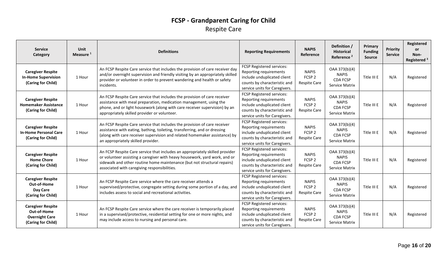### **FCSP - Grandparent Caring for Child** Respite Care

| <b>Service</b><br>Category                                                             | Unit<br>Measure <sup>1</sup> | <b>Definitions</b>                                                                                                                                                                                                                                                                     | <b>Reporting Requirements</b>                                                                                                                       | <b>NAPIS</b><br>Reference                                                                                                      | Definition /<br><b>Historical</b><br>Reference <sup>2</sup>        | Primary<br><b>Funding</b><br><b>Source</b> | Priority<br><b>Service</b> | Registered<br><b>or</b><br>Non-<br>Registered <sup>3</sup> |
|----------------------------------------------------------------------------------------|------------------------------|----------------------------------------------------------------------------------------------------------------------------------------------------------------------------------------------------------------------------------------------------------------------------------------|-----------------------------------------------------------------------------------------------------------------------------------------------------|--------------------------------------------------------------------------------------------------------------------------------|--------------------------------------------------------------------|--------------------------------------------|----------------------------|------------------------------------------------------------|
| <b>Caregiver Respite</b><br><b>In-Home Supervision</b><br>(Caring for Child)           | 1 Hour                       | An FCSP Respite Care service that includes the provision of care receiver day<br>and/or overnight supervision and friendly visiting by an appropriately skilled<br>provider or volunteer in order to prevent wandering and health or safety<br>incidents.                              | FCSP Registered services:<br>Reporting requirements<br>include unduplicated client<br>counts by characteristic and<br>service units for Caregivers. | <b>NAPIS</b><br>FCSP <sub>2</sub><br><b>Respite Care</b>                                                                       | OAA 373(b)(4)<br><b>NAPIS</b><br><b>CDA FCSP</b><br>Service Matrix |                                            | N/A                        | Registered                                                 |
| <b>Caregiver Respite</b><br><b>Homemaker Assistance</b><br>(Caring for Child)          | 1 Hour                       | An FCSP Respite Care service that includes the provision of care receiver<br>assistance with meal preparation, medication management, using the<br>phone, and or light housework (along with care receiver supervision) by an<br>appropriately skilled provider or volunteer.          | FCSP Registered services:<br>Reporting requirements<br>include unduplicated client<br>counts by characteristic and<br>service units for Caregivers. | OAA 373(b)(4)<br><b>NAPIS</b><br><b>NAPIS</b><br>FCSP <sub>2</sub><br><b>CDA FCSP</b><br><b>Respite Care</b><br>Service Matrix |                                                                    | Title III E                                | N/A                        | Registered                                                 |
| <b>Caregiver Respite</b><br><b>In-Home Personal Care</b><br>(Caring for Child)         | 1 Hour                       | An FCSP Respite Care service that includes the provision of care receiver<br>assistance with eating, bathing, toileting, transferring, and or dressing<br>(along with care receiver supervision and related homemaker assistance) by<br>an appropriately skilled provider.             | FCSP Registered services:<br>Reporting requirements<br>include unduplicated client<br>counts by characteristic and<br>service units for Caregivers. | <b>NAPIS</b><br>FCSP <sub>2</sub><br><b>Respite Care</b>                                                                       | OAA 373(b)(4)<br><b>NAPIS</b><br><b>CDA FCSP</b><br>Service Matrix |                                            | N/A                        | Registered                                                 |
| <b>Caregiver Respite</b><br><b>Home Chore</b><br>(Caring for Child)                    | 1 Hour                       | An FCSP Respite Care service that includes an appropriately skilled provider<br>or volunteer assisting a caregiver with heavy housework, yard work, and or<br>sidewalk and other routine home maintenance (but not structural repairs)<br>associated with caregiving responsibilities. | FCSP Registered services:<br>Reporting requirements<br>include unduplicated client<br>counts by characteristic and<br>service units for Caregivers. | <b>NAPIS</b><br>FCSP <sub>2</sub><br><b>Respite Care</b>                                                                       | OAA 373(b)(4)<br><b>NAPIS</b><br><b>CDA FCSP</b><br>Service Matrix | Title III E                                | N/A                        | Registered                                                 |
| <b>Caregiver Respite</b><br>Out-of-Home<br>Day Care<br>(Caring for Child)              | 1 Hour                       | An FCSP Respite Care service where the care receiver attends a<br>supervised/protective, congregate setting during some portion of a day, and<br>includes assess to social and recreational activities.                                                                                | FCSP Registered services:<br>Reporting requirements<br>include unduplicated client<br>counts by characteristic and<br>service units for Caregivers. | <b>NAPIS</b><br>FCSP <sub>2</sub><br><b>Respite Care</b>                                                                       | OAA 373(b)(4)<br><b>NAPIS</b><br><b>CDA FCSP</b><br>Service Matrix | Title III E                                | N/A                        | Registered                                                 |
| <b>Caregiver Respite</b><br>Out-of-Home<br><b>Overnight Care</b><br>(Caring for Child) | 1 Hour                       | An FCSP Respite Care service where the care receiver is temporarily placed<br>in a supervised/protective, residential setting for one or more nights, and<br>may include access to nursing and personal care.                                                                          | FCSP Registered services:<br>Reporting requirements<br>include unduplicated client<br>counts by characteristic and<br>service units for Caregivers. | OAA 373(b)(4)<br><b>NAPIS</b><br><b>NAPIS</b><br>FCSP <sub>2</sub><br><b>CDA FCSP</b><br><b>Respite Care</b><br>Service Matrix |                                                                    | Title III E                                | N/A                        | Registered                                                 |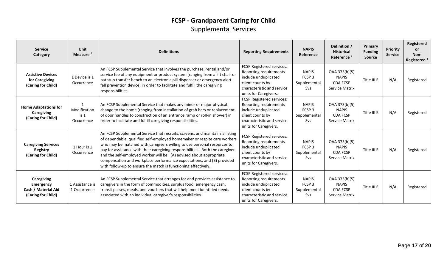### **FCSP - Grandparent Caring for Child** Supplemental Services

| <b>Service</b><br>Category                                                  | <b>Unit</b><br>Measure <sup>1</sup>           | <b>Definitions</b>                                                                                                                                                                                                                                                                                                                                                                                                                                                                                                                     | <b>Reporting Requirements</b>                                                                                                                          | <b>NAPIS</b><br>Reference                                | Definition /<br><b>Historical</b><br>Reference <sup>2</sup>        | Primary<br><b>Funding</b><br><b>Source</b> | <b>Priority</b><br><b>Service</b> | <b>Registered</b><br><b>or</b><br>Non-<br>Registered <sup>3</sup> |
|-----------------------------------------------------------------------------|-----------------------------------------------|----------------------------------------------------------------------------------------------------------------------------------------------------------------------------------------------------------------------------------------------------------------------------------------------------------------------------------------------------------------------------------------------------------------------------------------------------------------------------------------------------------------------------------------|--------------------------------------------------------------------------------------------------------------------------------------------------------|----------------------------------------------------------|--------------------------------------------------------------------|--------------------------------------------|-----------------------------------|-------------------------------------------------------------------|
| <b>Assistive Devices</b><br>for Caregiving<br>(Caring for Child)            | 1 Device is 1<br>Occurrence                   | An FCSP Supplemental Service that involves the purchase, rental and/or<br>service fee of any equipment or product system (ranging from a lift chair or<br>bathtub transfer bench to an electronic pill dispenser or emergency alert<br>fall prevention device) in order to facilitate and fulfill the caregiving<br>responsibilities.                                                                                                                                                                                                  | FCSP Registered services:<br>Reporting requirements<br>include unduplicated<br>client counts by<br>characteristic and service<br>units for Caregivers. | <b>NAPIS</b><br>FCSP <sub>3</sub><br>Supplemental<br>Svs | OAA 373(b)(5)<br><b>NAPIS</b><br><b>CDA FCSP</b><br>Service Matrix | Title III E                                | N/A                               | Registered                                                        |
| <b>Home Adaptations for</b><br>Caregiving<br>(Caring for Child)             | Modification<br>is <sub>1</sub><br>Occurrence | An FCSP Supplemental Service that makes any minor or major physical<br>change to the home (ranging from installation of grab bars or replacement<br>of door handles to construction of an entrance ramp or roll-in shower) in<br>order to facilitate and fulfill caregiving responsibilities.                                                                                                                                                                                                                                          | FCSP Registered services:<br>Reporting requirements<br>include unduplicated<br>client counts by<br>characteristic and service<br>units for Caregivers. | <b>NAPIS</b><br>FCSP <sub>3</sub><br>Supplemental<br>Svs | OAA 373(b)(5)<br><b>NAPIS</b><br>CDA FCSP<br>Service Matrix        | Title III E                                | N/A                               | Registered                                                        |
| <b>Caregiving Services</b><br><b>Registry</b><br>(Caring for Child)         | 1 Hour is 1<br>Occurrence                     | An FCSP Supplemental Service that recruits, screens, and maintains a listing<br>of dependable, qualified self-employed homemaker or respite care workers<br>who may be matched with caregivers willing to use personal resources to<br>pay for assistance with their caregiving responsibilities. Both the caregiver<br>and the self-employed worker will be: (A) advised about appropriate<br>compensation and workplace performance expectations; and (B) provided<br>with follow-up to ensure the match is functioning effectively. | FCSP Registered services:<br>Reporting requirements<br>include unduplicated<br>client counts by<br>characteristic and service<br>units for Caregivers. | <b>NAPIS</b><br>FCSP <sub>3</sub><br>Supplemental<br>Svs | OAA 373(b)(5)<br><b>NAPIS</b><br><b>CDA FCSP</b><br>Service Matrix | Title III E                                | N/A                               | Registered                                                        |
| <b>Caregiving</b><br>Emergency<br>Cash / Material Aid<br>(Caring for Child) | 1 Assistance is<br>1 Occurrence               | An FCSP Supplemental Service that arranges for and provides assistance to<br>caregivers in the form of commodities, surplus food, emergency cash,<br>transit passes, meals, and vouchers that will help meet identified needs<br>associated with an individual caregiver's responsibilities.                                                                                                                                                                                                                                           | FCSP Registered services:<br>Reporting requirements<br>include unduplicated<br>client counts by<br>characteristic and service<br>units for Caregivers. | <b>NAPIS</b><br>FCSP <sub>3</sub><br>Supplemental<br>Svs | OAA 373(b)(5)<br><b>NAPIS</b><br><b>CDA FCSP</b><br>Service Matrix | Title III E                                | N/A                               | Registered                                                        |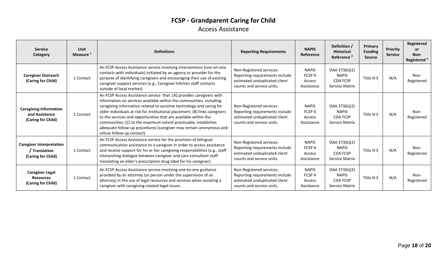### **FCSP - Grandparent Caring for Child** Access Assistance

| <b>Service</b><br>Category                                             | <b>Unit</b><br>Measure <sup>1</sup> | <b>Definitions</b>                                                                                                                                                                                                                                                                                                                                                                                                                                                                                                                           | <b>Reporting Requirements</b>                                                                                            | <b>NAPIS</b><br>Reference                                 | Definition /<br><b>Historical</b><br>Reference <sup>2</sup>        | Primary<br><b>Funding</b><br><b>Source</b> | <b>Priority</b><br><b>Service</b> | Registered<br><b>or</b><br>Non-<br>Registered <sup>3</sup> |
|------------------------------------------------------------------------|-------------------------------------|----------------------------------------------------------------------------------------------------------------------------------------------------------------------------------------------------------------------------------------------------------------------------------------------------------------------------------------------------------------------------------------------------------------------------------------------------------------------------------------------------------------------------------------------|--------------------------------------------------------------------------------------------------------------------------|-----------------------------------------------------------|--------------------------------------------------------------------|--------------------------------------------|-----------------------------------|------------------------------------------------------------|
| <b>Caregiver Outreach</b><br>(Caring for Child)                        | 1 Contact                           | An FCSP Access Assistance service involving interventions (one-on-one<br>contacts with individuals) initiated by an agency or provider for the<br>purpose of identifying caregivers and encouraging their use of existing<br>caregiver support services (e.g., Caregiver InfoVan staff contacts<br>outside of local market).                                                                                                                                                                                                                 | Non-Registered services:<br>Reporting requirements include<br>estimated unduplicated client<br>counts and service units. | <b>NAPIS</b><br>FCSP <sub>4</sub><br>Access<br>Assistance | OAA 373(b)(2)<br><b>NAPIS</b><br><b>CDA FCSP</b><br>Service Matrix | Title III E                                | N/A                               | Non-<br>Registered                                         |
| <b>Caregiving Information</b><br>and Assistance<br>(Caring for Child)  | 1 Contact                           | An FCSP Access Assistance service that: (A) provides caregivers with<br>information on services available within the communities, including<br>caregiving information related to assistive technology and caring for<br>older individuals at risk for institutional placement; (B) links caregivers<br>to the services and opportunities that are available within the<br>communities; (C) to the maximum extent practicable, establishes<br>adequate follow-up procedures (caregiver may remain anonymous and<br>refuse follow-up contact). | Non-Registered services:<br>Reporting requirements include<br>estimated unduplicated client<br>counts and service units. | <b>NAPIS</b><br>FCSP <sub>4</sub><br>Access<br>Assistance | OAA 373(b)(2)<br><b>NAPIS</b><br><b>CDA FCSP</b><br>Service Matrix | Title III E                                | N/A                               | Non-<br>Registered                                         |
| <b>Caregiver Interpretation</b><br>/ Translation<br>(Caring for Child) | 1 Contact                           | An FCSP Access Assistance service for the provision of bilingual<br>communication assistance to a caregiver in order to access assistance<br>and receive support for his or her caregiving responsibilities (e.g., staff<br>interpreting dialogue between caregiver and care consultant staff<br>translating an elder's prescription drug label for his caregiver).                                                                                                                                                                          | Non-Registered services:<br>Reporting requirements include<br>estimated unduplicated client<br>counts and service units. | <b>NAPIS</b><br>FCSP <sub>4</sub><br>Access<br>Assistance | OAA 373(b)(2)<br><b>NAPIS</b><br><b>CDA FCSP</b><br>Service Matrix | Title III E                                | N/A                               | Non-<br>Registered                                         |
| <b>Caregiver Legal</b><br><b>Resources</b><br>(Caring for Child)       | 1 Contact                           | An FCSP Access Assistance service involving one-to-one guidance<br>provided by an attorney (or person under the supervision of an<br>attorney) in the use of legal resources and services when assisting a<br>caregiver with caregiving-related legal issues.                                                                                                                                                                                                                                                                                | Non-Registered services:<br>Reporting requirements include<br>estimated unduplicated client<br>counts and service units. | <b>NAPIS</b><br>FCSP <sub>4</sub><br>Access<br>Assistance | OAA 373(b)(2)<br><b>NAPIS</b><br><b>CDA FCSP</b><br>Service Matrix | Title III E                                | N/A                               | Non-<br>Registered                                         |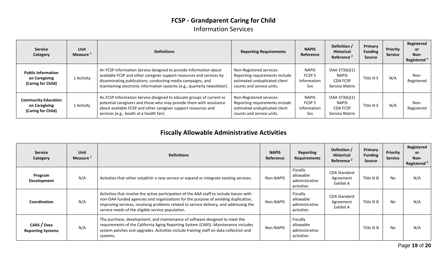### **FCSP - Grandparent Caring for Child** Information Services

| <b>Service</b><br>Category                                        | <b>Unit</b><br>Measure <sup>1</sup> | <b>Definitions</b>                                                                                                                                                                                                                                                                   | <b>Reporting Requirements</b>                                                                                            | <b>NAPIS</b><br>Reference                                      | Definition /<br><b>Historical</b><br>Reference <sup>2</sup>        | Primary<br><b>Funding</b><br>Source | Priority<br><b>Service</b> | Registered<br><b>or</b><br>Non-<br>Registered <sup>3</sup> |
|-------------------------------------------------------------------|-------------------------------------|--------------------------------------------------------------------------------------------------------------------------------------------------------------------------------------------------------------------------------------------------------------------------------------|--------------------------------------------------------------------------------------------------------------------------|----------------------------------------------------------------|--------------------------------------------------------------------|-------------------------------------|----------------------------|------------------------------------------------------------|
| <b>Public Information</b><br>on Caregiving<br>(Caring for Child)  | 1 Activity                          | An FCSP Information Service designed to provide information about<br>available FCSP and other caregiver support resources and services by<br>disseminating publications, conducting media campaigns, and<br>maintaining electronic information systems (e.g., quarterly newsletter). | Non-Registered services:<br>Reporting requirements include<br>estimated unduplicated client<br>counts and service units. | <b>NAPIS</b><br>FCSP <sub>5</sub><br>Information<br><b>Svs</b> | OAA 373(b)(1)<br><b>NAPIS</b><br><b>CDA FCSP</b><br>Service Matrix | Title III E                         | N/A                        | Non-<br>Registered                                         |
| <b>Community Education</b><br>on Caregiving<br>(Caring for Child) | 1 Activity                          | An FCSP Information Service designed to educate groups of current or<br>potential caregivers and those who may provide them with assistance<br>about available FCSP and other caregiver support resources and<br>services (e.g., booth at a health fair).                            | Non-Registered services:<br>Reporting requirements include<br>estimated unduplicated client<br>counts and service units. | <b>NAPIS</b><br>FCSP <sub>5</sub><br>Information<br><b>Svs</b> | OAA 373(b)(1)<br><b>NAPIS</b><br><b>CDA FCSP</b><br>Service Matrix | Title III E                         | N/A                        | Non-<br>Registered                                         |

### **Fiscally Allowable Administrative Activities**

| <b>Service</b><br>Category              | Unit<br>Measure <sup>1</sup> | <b>Definitions</b>                                                                                                                                                                                                                                                                                                             | <b>NAPIS</b><br>Reference | <b>Reporting</b><br><b>Requirements</b>               | Definition /<br><b>Historical</b><br>Reference <sup>2</sup> | Primary<br><b>Funding</b><br><b>Source</b> | Priority<br><b>Service</b> | Registered<br><b>or</b><br>Non-<br>Registered <sup>3</sup> |
|-----------------------------------------|------------------------------|--------------------------------------------------------------------------------------------------------------------------------------------------------------------------------------------------------------------------------------------------------------------------------------------------------------------------------|---------------------------|-------------------------------------------------------|-------------------------------------------------------------|--------------------------------------------|----------------------------|------------------------------------------------------------|
| Program<br>Development                  | N/A                          | Activities that either establish a new service or expand or integrate existing services.                                                                                                                                                                                                                                       | Non-NAPIS                 | Fiscally<br>allowable<br>administrative<br>activities | <b>CDA Standard</b><br>Agreement<br>Exhibit A               | Title III B                                | No                         | N/A                                                        |
| Coordination                            | N/A                          | Activities that involve the active participation of the AAA staff to include liaison with<br>non-OAA funded agencies and organizations for the purpose of avoiding duplication,<br>improving services, resolving problems related to service delivery, and addressing the<br>service needs of the eligible service population. | Non-NAPIS                 | Fiscally<br>allowable<br>administrative<br>activities | <b>CDA Standard</b><br>Agreement<br>Exhibit A               | Title III B                                | No                         | N/A                                                        |
| CARS / Data<br><b>Reporting Systems</b> | N/A                          | The purchase, development, and maintenance of software designed to meet the<br>requirements of the California Aging Reporting System (CARS). Maintenance includes<br>system patches and upgrades. Activities include training staff on data collection and<br>systems.                                                         | Non-NAPIS                 | Fiscally<br>allowable<br>administrative<br>activities |                                                             | Title III B                                | No                         | N/A                                                        |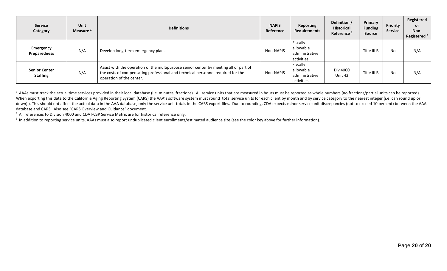| <b>Service</b><br>Category              | Unit<br>Measure <sup>1</sup> | <b>Definitions</b>                                                                                                                                                                                   | <b>NAPIS</b><br>Reference | Reporting<br>Requirements                             | Definition /<br><b>Historical</b><br>Reference <sup>2</sup> | Primary<br><b>Funding</b><br><b>Source</b> | <b>Priority</b><br><b>Service</b> | Registered<br>or<br>Non-<br>Registered <sup>3</sup> |
|-----------------------------------------|------------------------------|------------------------------------------------------------------------------------------------------------------------------------------------------------------------------------------------------|---------------------------|-------------------------------------------------------|-------------------------------------------------------------|--------------------------------------------|-----------------------------------|-----------------------------------------------------|
| <b>Emergency</b><br>Preparedness        | N/A                          | Develop long-term emergency plans.                                                                                                                                                                   | Non-NAPIS                 | Fiscally<br>allowable<br>administrative<br>activities |                                                             | Title III B                                | <b>No</b>                         | N/A                                                 |
| <b>Senior Center</b><br><b>Staffing</b> | N/A                          | Assist with the operation of the multipurpose senior center by meeting all or part of<br>the costs of compensating professional and technical personnel required for the<br>operation of the center. | Non-NAPIS                 | Fiscally<br>allowable<br>administrative<br>activities | Div 4000<br>Unit 42                                         | Title III B                                | <b>No</b>                         | N/A                                                 |

<sup>1</sup> AAAs must track the actual time services provided in their local database (i.e. minutes, fractions). All service units that are measured in hours must be reported as whole numbers (no fractions/partial units can be rep When exporting this data to the California Aging Reporting System (CARS) the AAA's software system must round total service units for each client by month and by service category to the nearest integer (i.e. can round up o down)). This should not affect the actual data in the AAA database, only the service unit totals in the CARS export files. Due to rounding, CDA expects minor service unit discrepancies (not to exceed 10 percent) between th database and CARS. Also see "CARS Overview and Guidance" document.

<sup>2</sup> All references to Division 4000 and CDA FCSP Service Matrix are for historical reference only.

<sup>3</sup> In addition to reporting service units, AAAs must also report unduplicated client enrollments/estimated audience size (see the color key above for further information).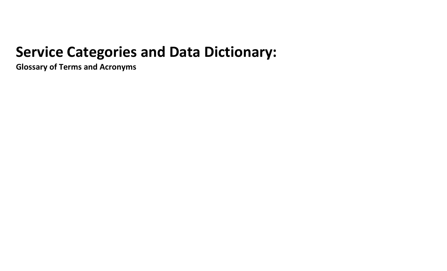# **Service Categories and Data Dictionary:**

**Glossary of Terms and Acronyms**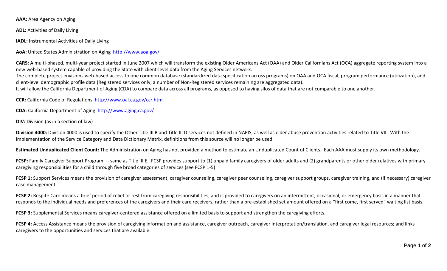**AAA:** Area Agency on Aging

**ADL:** Activities of Daily Living

**IADL:** Instrumental Activities of Daily Living

**AoA:** United States Administration on Aging http://www.aoa.gov/

**CARS:** A multi-phased, multi-year project started in June 2007 which will transform the existing Older Americans Act (OAA) and Older Californians Act (OCA) aggregate reporting system into a new web-based system capable of providing the State with client-level data from the Aging Services network.

The complete project envisions web-based access to one common database (standardized data specification across programs) on OAA and OCA fiscal, program performance (utilization), and client-level demographic profile data (Registered services only; a number of Non-Registered services remaining are aggregated data).

It will allow the California Department of Aging (CDA) to compare data across all programs, as opposed to having silos of data that are not comparable to one another.

**CCR:** California Code of Regulations http://www.oal.ca.gov/ccr.htm

**CDA:** California Department of Aging http://www.aging.ca.gov/

**DIV:** Division (as in a section of law)

Division 4000: Division 4000 is used to specify the Other Title III B and Title III D services not defined in NAPIS, as well as elder abuse prevention activities related to Title VII. With the implementation of the Service Category and Data Dictionary Matrix, definitions from this source will no longer be used.

**Estimated Unduplicated Client Count:** The Administration on Aging has not provided a method to estimate an Unduplicated Count of Clients. Each AAA must supply its own methodology.

FCSP: Family Caregiver Support Program -- same as Title III E. FCSP provides support to (1) unpaid family caregivers of older adults and (2) grandparents or other older relatives with primary caregiving responsibilities for a child through five broad categories of services (see FCSP 1-5)

FCSP 1: Support Services means the provision of caregiver assessment, caregiver counseling, caregiver peer counseling, caregiver support groups, caregiver training, and (if necessary) caregiver case management.

FCSP 2: Respite Care means a brief period of relief or rest from caregiving responsibilities, and is provided to caregivers on an intermittent, occasional, or emergency basis in a manner that responds to the individual needs and preferences of the caregivers and their care receivers, rather than a pre-established set amount offered on a "first come, first served" waiting list basis.

**FCSP 3:** Supplemental Services means caregiver-centered assistance offered on a limited basis to support and strengthen the caregiving efforts.

FCSP 4: Access Assistance means the provision of caregiving information and assistance, caregiver outreach, caregiver interpretation/translation, and caregiver legal resources; and links caregivers to the opportunities and services that are available.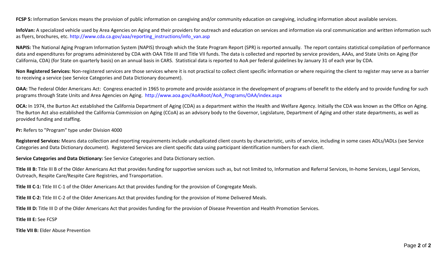**FCSP 5:** Information Services means the provision of public information on caregiving and/or community education on caregiving, including information about available services.

**InfoVan:** A specialized vehicle used by Area Agencies on Aging and their providers for outreach and education on services and information via oral communication and written information such as flyers, brochures, etc. http://www.cda.ca.gov/aaa/reporting\_instructions/info\_van.asp

**NAPIS:** The National Aging Program Information System (NAPIS) through which the State Program Report (SPR) is reported annually. The report contains statistical compilation of performance data and expenditures for programs administered by CDA with OAA Title III and Title VII funds. The data is collected and reported by service providers, AAAs, and State Units on Aging (for California, CDA) (for State on quarterly basis) on an annual basis in CARS. Statistical data is reported to AoA per federal guidelines by January 31 of each year by CDA.

**Non Registered Services:** Non-registered services are those services where it is not practical to collect client specific information or where requiring the client to register may serve as a barrier to receiving a service (see Service Categories and Data Dictionary document).

**OAA:** The Federal Older Americans Act: Congress enacted in 1965 to promote and provide assistance in the development of programs of benefit to the elderly and to provide funding for such programs through State Units and Area Agencies on Aging. http://www.aoa.gov/AoARoot/AoA\_Programs/OAA/index.aspx

OCA: In 1974, the Burton Act established the California Department of Aging (CDA) as a department within the Health and Welfare Agency. Initially the CDA was known as the Office on Aging. The Burton Act also established the California Commission on Aging (CCoA) as an advisory body to the Governor, Legislature, Department of Aging and other state departments, as well as provided funding and staffing.

**Pr:** Refers to "Program" type under Division 4000

Registered Services: Means data collection and reporting requirements include unduplicated client counts by characteristic, units of service, including in some cases ADLs/IADLs (see Service Categories and Data Dictionary document). Registered Services are client specific data using participant identification numbers for each client.

**Service Categories and Data Dictionary:** See Service Categories and Data Dictionary section.

Title III B: Title III B of the Older Americans Act that provides funding for supportive services such as, but not limited to, Information and Referral Services, In-home Services, Legal Services, Outreach, Respite Care/Respite Care Registries, and Transportation.

**Title III C-1:** Title III C-1 of the Older Americans Act that provides funding for the provision of Congregate Meals.

**Title III C-2:** Title III C-2 of the Older Americans Act that provides funding for the provision of Home Delivered Meals.

**Title III D:** Title III D of the Older Americans Act that provides funding for the provision of Disease Prevention and Health Promotion Services.

**Title III E:** See FCSP

**Title VII B:** Elder Abuse Prevention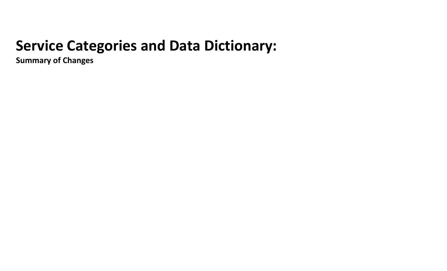# **Service Categories and Data Dictionary:**

**Summary of Changes**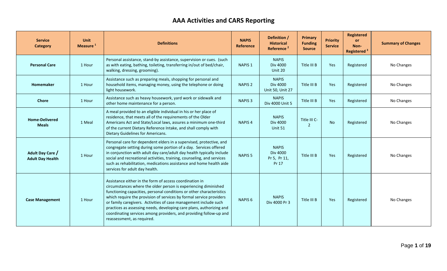## **AAA Activities and CARS Reporting**

| <b>Service</b><br><b>Category</b>           | <b>Unit</b><br>Measure <sup>1</sup> | <b>Definitions</b>                                                                                                                                                                                                                                                                                                                                                                                                                                                                                                        | <b>NAPIS</b><br><b>Reference</b> | Definition /<br><b>Historical</b><br>Reference <sup>2</sup> | Primary<br><b>Funding</b><br><b>Source</b> | <b>Priority</b><br><b>Service</b> | <b>Registered</b><br><b>or</b><br>Non-<br>Registered <sup>3</sup> | <b>Summary of Changes</b> |
|---------------------------------------------|-------------------------------------|---------------------------------------------------------------------------------------------------------------------------------------------------------------------------------------------------------------------------------------------------------------------------------------------------------------------------------------------------------------------------------------------------------------------------------------------------------------------------------------------------------------------------|----------------------------------|-------------------------------------------------------------|--------------------------------------------|-----------------------------------|-------------------------------------------------------------------|---------------------------|
| <b>Personal Care</b>                        | 1 Hour                              | Personal assistance, stand-by assistance, supervision or cues. (such<br>as with eating, bathing, toileting, transferring in/out of bed/chair,<br>walking, dressing, grooming).                                                                                                                                                                                                                                                                                                                                            | NAPIS <sub>1</sub>               | <b>NAPIS</b><br><b>Div 4000</b><br>Unit 20                  | Title III B                                | Yes                               | Registered                                                        | No Changes                |
| Homemaker                                   | 1 Hour                              | Assistance such as preparing meals, shopping for personal and<br>household items, managing money, using the telephone or doing<br>light housework.                                                                                                                                                                                                                                                                                                                                                                        | <b>NAPIS 2</b>                   | <b>NAPIS</b><br><b>Div 4000</b><br>Unit 50, Unit 27         | Title III B                                | Yes                               | Registered                                                        | No Changes                |
| <b>Chore</b>                                | 1 Hour                              | Assistance such as heavy housework, yard work or sidewalk and<br>other home maintenance for a person.                                                                                                                                                                                                                                                                                                                                                                                                                     | <b>NAPIS 3</b>                   | <b>NAPIS</b><br>Div 4000 Unit 5                             | Title III B                                | Yes                               | Registered                                                        | No Changes                |
| <b>Home-Delivered</b><br><b>Meals</b>       | 1 Meal                              | A meal provided to an eligible individual in his or her place of<br>residence, that meets all of the requirements of the Older<br>Americans Act and State/Local laws, assures a minimum one-third<br>of the current Dietary Reference Intake, and shall comply with<br>Dietary Guidelines for Americans.                                                                                                                                                                                                                  | <b>NAPIS4</b>                    | <b>NAPIS</b><br>Div 4000<br>Unit 51                         | Title III C-<br>$\overline{2}$             | <b>No</b>                         | Registered                                                        | No Changes                |
| Adult Day Care /<br><b>Adult Day Health</b> | 1 Hour                              | Personal care for dependent elders in a supervised, protective, and<br>congregate setting during some portion of a day. Services offered<br>in conjunction with adult day care/adult day health typically include<br>social and recreational activities, training, counseling, and services<br>such as rehabilitation, medications assistance and home health aide<br>services for adult day health.                                                                                                                      | <b>NAPIS<sub>5</sub></b>         | <b>NAPIS</b><br>Div 4000<br>Pr 5, Pr 11,<br>Pr 17           | Title III B                                | Yes                               | Registered                                                        | No Changes                |
| <b>Case Management</b>                      | 1 Hour                              | Assistance either in the form of access coordination in<br>circumstances where the older person is experiencing diminished<br>functioning capacities, personal conditions or other characteristics<br>which require the provision of services by formal service providers<br>or family caregivers. Activities of case management include such<br>practices as assessing needs, developing care plans, authorizing and<br>coordinating services among providers, and providing follow-up and<br>reassessment, as required. | <b>NAPIS 6</b>                   | <b>NAPIS</b><br>Div 4000 Pr 3                               | Title III B                                | Yes                               | Registered                                                        | No Changes                |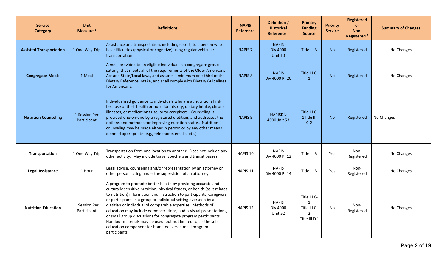| <b>Service</b><br><b>Category</b> | <b>Unit</b><br>Measure <sup>1</sup> | <b>Definitions</b>                                                                                                                                                                                                                                                                                                                                                                                                                                                                                                                                                                                                                      | <b>NAPIS</b><br><b>Reference</b> | Definition /<br><b>Historical</b><br>Reference <sup>2</sup> | <b>Primary</b><br><b>Funding</b><br><b>Source</b>                                         | <b>Priority</b><br><b>Service</b> | <b>Registered</b><br><b>or</b><br>Non-<br>Registered <sup>3</sup> | <b>Summary of Changes</b> |
|-----------------------------------|-------------------------------------|-----------------------------------------------------------------------------------------------------------------------------------------------------------------------------------------------------------------------------------------------------------------------------------------------------------------------------------------------------------------------------------------------------------------------------------------------------------------------------------------------------------------------------------------------------------------------------------------------------------------------------------------|----------------------------------|-------------------------------------------------------------|-------------------------------------------------------------------------------------------|-----------------------------------|-------------------------------------------------------------------|---------------------------|
| <b>Assisted Transportation</b>    | 1 One Way Trip                      | Assistance and transportation, including escort, to a person who<br>has difficulties (physical or cognitive) using regular vehicular<br>transportation.                                                                                                                                                                                                                                                                                                                                                                                                                                                                                 | <b>NAPIS 7</b>                   | <b>NAPIS</b><br><b>Div 4000</b><br>Unit 10                  | Title III B                                                                               | <b>No</b>                         | Registered                                                        | No Changes                |
| <b>Congregate Meals</b>           | 1 Meal                              | A meal provided to an eligible individual in a congregate group<br>setting, that meets all of the requirements of the Older Americans<br>Act and State/Local laws, and assures a minimum one-third of the<br>Dietary Reference Intake, and shall comply with Dietary Guidelines<br>for Americans.                                                                                                                                                                                                                                                                                                                                       | <b>NAPIS 8</b>                   | <b>NAPIS</b><br>Div 4000 Pr 20                              | Title III C-<br>$\overline{1}$                                                            | <b>No</b>                         | Registered                                                        | No Changes                |
| <b>Nutrition Counseling</b>       | 1 Session Per<br>Participant        | Individualized guidance to individuals who are at nutritional risk<br>because of their health or nutrition history, dietary intake, chronic<br>illnesses, or medications use, or to caregivers. Counseling is<br>provided one-on-one by a registered dietitian, and addresses the<br>options and methods for improving nutrition status. Nutrition<br>counseling may be made either in person or by any other means<br>deemed appropriate (e.g., telephone, emails, etc.)                                                                                                                                                               | NAPIS <sub>9</sub>               | <b>NAPISDiv</b><br>4000Unit 53                              | Title III C-<br>1Title III<br>$C-2$                                                       | <b>No</b>                         | Registered                                                        | No Changes                |
| Transportation                    | 1 One Way Trip                      | Transportation from one location to another. Does not include any<br>other activity. May include travel vouchers and transit passes.                                                                                                                                                                                                                                                                                                                                                                                                                                                                                                    | NAPIS <sub>10</sub>              | <b>NAPIS</b><br>Div 4000 Pr 12                              | Title III B                                                                               | Yes                               | Non-<br>Registered                                                | No Changes                |
| <b>Legal Assistance</b>           | 1 Hour                              | Legal advice, counseling and/or representation by an attorney or<br>other person acting under the supervision of an attorney.                                                                                                                                                                                                                                                                                                                                                                                                                                                                                                           | NAPIS <sub>11</sub>              | <b>NAPIS</b><br>Div 4000 Pr 14                              | Title III B                                                                               | Yes                               | Non-<br>Registered                                                | No Changes                |
| <b>Nutrition Education</b>        | 1 Session Per<br>Participant        | A program to promote better health by providing accurate and<br>culturally sensitive nutrition, physical fitness, or health (as it relates<br>to nutrition) information and instruction to participants, caregivers,<br>or participants in a group or individual setting overseen by a<br>dietitian or individual of comparable expertise. Methods of<br>education may include demonstrations, audio-visual presentations,<br>or small group discussions for congregate program participants.<br>Handout materials may be used, but not limited to, as the sole<br>education component for home-delivered meal program<br>participants. | NAPIS <sub>12</sub>              | <b>NAPIS</b><br>Div 4000<br>Unit 52                         | Title III C-<br>$\mathbf{1}$<br>Title III C-<br>$\mathcal{P}$<br>Title III D <sup>4</sup> | No                                | Non-<br>Registered                                                | No Changes                |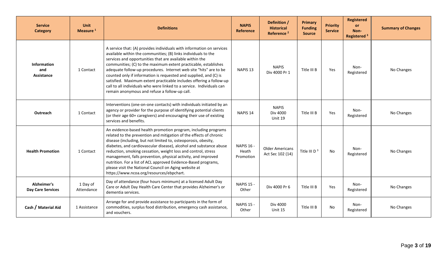| <b>Service</b><br>Category                     | <b>Unit</b><br>Measure <sup>1</sup> | <b>Definitions</b>                                                                                                                                                                                                                                                                                                                                                                                                                                                                                                                                                                                                | <b>NAPIS</b><br>Reference               | Definition /<br><b>Historical</b><br>Reference <sup>2</sup> | Primary<br><b>Funding</b><br><b>Source</b> | <b>Priority</b><br><b>Service</b> | <b>Registered</b><br>or<br>Non-<br>Registered <sup>3</sup> | <b>Summary of Changes</b> |
|------------------------------------------------|-------------------------------------|-------------------------------------------------------------------------------------------------------------------------------------------------------------------------------------------------------------------------------------------------------------------------------------------------------------------------------------------------------------------------------------------------------------------------------------------------------------------------------------------------------------------------------------------------------------------------------------------------------------------|-----------------------------------------|-------------------------------------------------------------|--------------------------------------------|-----------------------------------|------------------------------------------------------------|---------------------------|
| <b>Information</b><br>and<br>Assistance        | 1 Contact                           | A service that: (A) provides individuals with information on services<br>available within the communities; (B) links individuals to the<br>services and opportunities that are available within the<br>communities; (C) to the maximum extent practicable, establishes<br>adequate follow-up procedures. Internet web site "hits" are to be<br>counted only if information is requested and supplied, and (C) is<br>satisfied. Maximum extent practicable includes offering a follow-up<br>call to all individuals who were linked to a service. Individuals can<br>remain anonymous and refuse a follow-up call. | NAPIS <sub>13</sub>                     | <b>NAPIS</b><br>Div 4000 Pr 1                               | Title III B                                | <b>Yes</b>                        | Non-<br>Registered                                         | No Changes                |
| Outreach                                       | 1 Contact                           | Interventions (one-on-one contacts) with individuals initiated by an<br>agency or provider for the purpose of identifying potential clients<br>(or their age 60+ caregivers) and encouraging their use of existing<br>services and benefits.                                                                                                                                                                                                                                                                                                                                                                      | NAPIS <sub>14</sub>                     | <b>NAPIS</b><br><b>Div 4000</b><br>Unit 19                  | Title III B                                | Yes                               | Non-<br>Registered                                         | No Changes                |
| <b>Health Promotion</b>                        | 1 Contact                           | An evidence-based health promotion program, including programs<br>related to the prevention and mitigation of the effects of chronic<br>disease (including, but not limited to, osteoporosis, obesity,<br>diabetes, and cardiovascular disease), alcohol and substance abuse<br>reduction, smoking cessation, weight loss and control, stress<br>management, falls prevention, physical activity, and improved<br>nutrition. For a list of ACL approved Evidence-Based programs,<br>please visit the National Council on Aging website at<br>https://www.ncoa.org/resources/ebpchart.                             | <b>NAPIS 16 -</b><br>Heath<br>Promotion | <b>Older Americans</b><br>Act Sec 102 (14)                  | Title III D $3$                            | No                                | Non-<br>Registered                                         | No Changes                |
| <b>Alzheimer's</b><br><b>Day Care Services</b> | 1 Day of<br>Attendance              | Day of attendance (four hours minimum) at a licensed Adult Day<br>Care or Adult Day Health Care Center that provides Alzheimer's or<br>dementia services.                                                                                                                                                                                                                                                                                                                                                                                                                                                         | <b>NAPIS 15 -</b><br>Other              | Div 4000 Pr 6                                               | Title III B                                | Yes                               | Non-<br>Registered                                         | No Changes                |
| Cash / Material Aid                            | 1 Assistance                        | Arrange for and provide assistance to participants in the form of<br>commodities, surplus food distribution, emergency cash assistance,<br>and vouchers.                                                                                                                                                                                                                                                                                                                                                                                                                                                          | <b>NAPIS 15 -</b><br>Other              | Div 4000<br>Unit 15                                         | Title III B                                | No                                | Non-<br>Registered                                         | No Changes                |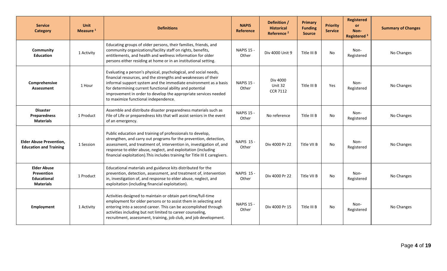| <b>Service</b><br><b>Category</b>                                          | <b>Unit</b><br>Measure <sup>1</sup> | <b>Definitions</b>                                                                                                                                                                                                                                                                                                                                                            | <b>NAPIS</b><br>Reference  | Definition /<br><b>Historical</b><br>Reference <sup>2</sup> | Primary<br><b>Funding</b><br><b>Source</b> | <b>Priority</b><br><b>Service</b> | <b>Registered</b><br>or<br>Non-<br>Registered <sup>3</sup> | <b>Summary of Changes</b> |
|----------------------------------------------------------------------------|-------------------------------------|-------------------------------------------------------------------------------------------------------------------------------------------------------------------------------------------------------------------------------------------------------------------------------------------------------------------------------------------------------------------------------|----------------------------|-------------------------------------------------------------|--------------------------------------------|-----------------------------------|------------------------------------------------------------|---------------------------|
| Community<br><b>Education</b>                                              | 1 Activity                          | Educating groups of older persons, their families, friends, and<br>community organizations/facility staff on rights, benefits,<br>entitlements, and health and wellness information for older<br>persons either residing at home or in an institutional setting.                                                                                                              | <b>NAPIS 15 -</b><br>Other | Div 4000 Unit 9                                             | Title III B                                | <b>No</b>                         | Non-<br>Registered                                         | No Changes                |
| Comprehensive<br><b>Assessment</b>                                         | 1 Hour                              | Evaluating a person's physical, psychological, and social needs,<br>financial resources, and the strengths and weaknesses of their<br>informal support system and the immediate environment as a basis<br>for determining current functional ability and potential<br>improvement in order to develop the appropriate services needed<br>to maximize functional independence. | <b>NAPIS 15 -</b><br>Other | Div 4000<br>Unit 32<br><b>CCR 7112</b>                      | Title III B                                | Yes                               | Non-<br>Registered                                         | No Changes                |
| <b>Disaster</b><br>Preparedness<br><b>Materials</b>                        | 1 Product                           | Assemble and distribute disaster preparedness materials such as<br>File of Life or preparedness kits that will assist seniors in the event<br>of an emergency.                                                                                                                                                                                                                | <b>NAPIS 15 -</b><br>Other | No reference                                                | Title III B                                | No                                | Non-<br>Registered                                         | No Changes                |
| <b>Elder Abuse Prevention,</b><br><b>Education and Training</b>            | 1 Session                           | Public education and training of professionals to develop,<br>strengthen, and carry out programs for the prevention, detection,<br>assessment, and treatment of, intervention in, investigation of, and<br>response to elder abuse, neglect, and exploitation (including<br>financial exploitation). This includes training for Title III E caregivers.                       | NAPIS 15 -<br>Other        | Div 4000 Pr 22                                              | Title VII B                                | No                                | Non-<br>Registered                                         | No Changes                |
| <b>Elder Abuse</b><br>Prevention<br><b>Educational</b><br><b>Materials</b> | 1 Product                           | Educational materials and guidance kits distributed for the<br>prevention, detection, assessment, and treatment of, intervention<br>in, investigation of, and response to elder abuse, neglect, and<br>exploitation (including financial exploitation).                                                                                                                       | <b>NAPIS 15 -</b><br>Other | Div 4000 Pr 22                                              | Title VII B                                | No                                | Non-<br>Registered                                         | No Changes                |
| Employment                                                                 | 1 Activity                          | Activities designed to maintain or obtain part-time/full-time<br>employment for older persons or to assist them in selecting and<br>entering into a second career. This can be accomplished through<br>activities including but not limited to career counseling,<br>recruitment, assessment, training, job club, and job development.                                        | <b>NAPIS 15 -</b><br>Other | Div 4000 Pr 15                                              | Title III B                                | No                                | Non-<br>Registered                                         | No Changes                |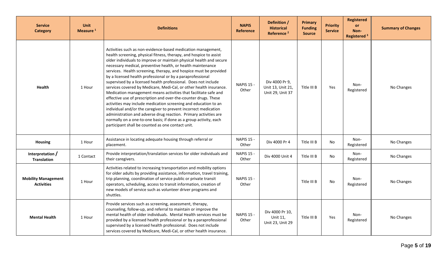| <b>Service</b><br><b>Category</b>               | <b>Unit</b><br>Measure <sup>1</sup> | <b>Definitions</b>                                                                                                                                                                                                                                                                                                                                                                                                                                                                                                                                                                                                                                                                                                                                                                                                                                                                                                                                                                                                            | <b>NAPIS</b><br><b>Reference</b> | Definition /<br><b>Historical</b><br>Reference <sup>2</sup> | <b>Primary</b><br><b>Funding</b><br><b>Source</b> | <b>Priority</b><br><b>Service</b> | <b>Registered</b><br><b>or</b><br>Non-<br>Registered <sup>3</sup> | <b>Summary of Changes</b> |
|-------------------------------------------------|-------------------------------------|-------------------------------------------------------------------------------------------------------------------------------------------------------------------------------------------------------------------------------------------------------------------------------------------------------------------------------------------------------------------------------------------------------------------------------------------------------------------------------------------------------------------------------------------------------------------------------------------------------------------------------------------------------------------------------------------------------------------------------------------------------------------------------------------------------------------------------------------------------------------------------------------------------------------------------------------------------------------------------------------------------------------------------|----------------------------------|-------------------------------------------------------------|---------------------------------------------------|-----------------------------------|-------------------------------------------------------------------|---------------------------|
| <b>Health</b>                                   | 1 Hour                              | Activities such as non-evidence-based medication management,<br>health screening, physical fitness, therapy, and hospice to assist<br>older individuals to improve or maintain physical health and secure<br>necessary medical, preventive health, or health maintenance<br>services. Health screening, therapy, and hospice must be provided<br>by a licensed health professional or by a paraprofessional<br>supervised by a licensed health professional. Does not include<br>services covered by Medicare, Medi-Cal, or other health insurance.<br>Medication management means activities that facilitate safe and<br>effective use of prescription and over-the-counter drugs. These<br>activities may include medication screening and education to an<br>individual and/or the caregiver to prevent incorrect medication<br>administration and adverse drug reaction. Primary activities are<br>normally on a one-to-one basis; if done as a group activity, each<br>participant shall be counted as one contact unit. | <b>NAPIS 15 -</b><br>Other       | Div 4000 Pr 9,<br>Unit 13, Unit 21,<br>Unit 29, Unit 37     | Title III B                                       | Yes                               | Non-<br>Registered                                                | No Changes                |
| <b>Housing</b>                                  | 1 Hour                              | Assistance in locating adequate housing through referral or<br>placement.                                                                                                                                                                                                                                                                                                                                                                                                                                                                                                                                                                                                                                                                                                                                                                                                                                                                                                                                                     | <b>NAPIS 15 -</b><br>Other       | Div 4000 Pr 4                                               | Title III B                                       | <b>No</b>                         | Non-<br>Registered                                                | No Changes                |
| Interpretation $/$<br><b>Translation</b>        | 1 Contact                           | Provide interpretation/translation services for older individuals and<br>their caregivers.                                                                                                                                                                                                                                                                                                                                                                                                                                                                                                                                                                                                                                                                                                                                                                                                                                                                                                                                    | NAPIS 15 -<br>Other              | Div 4000 Unit 4                                             | Title III B                                       | No                                | Non-<br>Registered                                                | No Changes                |
| <b>Mobility Management</b><br><b>Activities</b> | 1 Hour                              | Activities related to increasing transportation and mobility options<br>for older adults by providing assistance, information, travel training,<br>trip planning, coordination of service public or private transit<br>operators, scheduling, access to transit information, creation of<br>new models of service such as volunteer driver programs and<br>shuttles.                                                                                                                                                                                                                                                                                                                                                                                                                                                                                                                                                                                                                                                          | <b>NAPIS 15 -</b><br>Other       |                                                             | Title III B                                       | No                                | Non-<br>Registered                                                | No Changes                |
| <b>Mental Health</b>                            | 1 Hour                              | Provide services such as screening, assessment, therapy,<br>counseling, follow-up, and referral to maintain or improve the<br>mental health of older individuals. Mental Health services must be<br>provided by a licensed health professional or by a paraprofessional<br>supervised by a licensed health professional. Does not include<br>services covered by Medicare, Medi-Cal, or other health insurance.                                                                                                                                                                                                                                                                                                                                                                                                                                                                                                                                                                                                               | <b>NAPIS 15 -</b><br>Other       | Div 4000 Pr 10,<br>Unit 11,<br>Unit 23, Unit 29             | Title III B                                       | Yes                               | Non-<br>Registered                                                | No Changes                |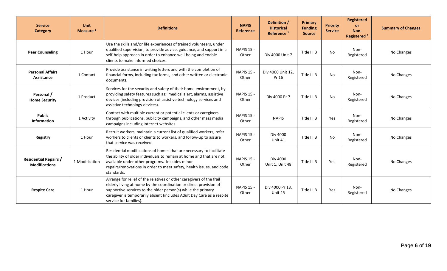| <b>Service</b><br><b>Category</b>                    | <b>Unit</b><br>Measure $1$ | <b>Definitions</b>                                                                                                                                                                                                                                                                                           | <b>NAPIS</b><br>Reference  | Definition /<br><b>Historical</b><br>Reference <sup>2</sup> | Primary<br><b>Funding</b><br><b>Source</b> | <b>Priority</b><br><b>Service</b> | <b>Registered</b><br><b>or</b><br>Non-<br>Registered <sup>3</sup> | <b>Summary of Changes</b> |
|------------------------------------------------------|----------------------------|--------------------------------------------------------------------------------------------------------------------------------------------------------------------------------------------------------------------------------------------------------------------------------------------------------------|----------------------------|-------------------------------------------------------------|--------------------------------------------|-----------------------------------|-------------------------------------------------------------------|---------------------------|
| <b>Peer Counseling</b>                               | 1 Hour                     | Use the skills and/or life experiences of trained volunteers, under<br>qualified supervision, to provide advice, guidance, and support in a<br>self-help approach in order to enhance well-being and enable<br>clients to make informed choices.                                                             | <b>NAPIS 15 -</b><br>Other | Div 4000 Unit 7                                             | Title III B                                | No                                | Non-<br>Registered                                                | No Changes                |
| <b>Personal Affairs</b><br>Assistance                | 1 Contact                  | Provide assistance in writing letters and with the completion of<br>financial forms, including tax forms, and other written or electronic<br>documents.                                                                                                                                                      | NAPIS 15 -<br>Other        | Div 4000 Unit 12,<br>Pr 16                                  | Title III B                                | <b>No</b>                         | Non-<br>Registered                                                | No Changes                |
| Personal /<br><b>Home Security</b>                   | 1 Product                  | Services for the security and safety of their home environment, by<br>providing safety features such as: medical alert, alarms, assistive<br>devices (including provision of assistive technology services and<br>assistive technology devices).                                                             | <b>NAPIS 15 -</b><br>Other | Div 4000 Pr 7                                               | Title III B                                | No                                | Non-<br>Registered                                                | No Changes                |
| <b>Public</b><br><b>Information</b>                  | 1 Activity                 | Contact with multiple current or potential clients or caregivers<br>through publications, publicity campaigns, and other mass media<br>campaigns including Internet websites.                                                                                                                                | <b>NAPIS 15 -</b><br>Other | <b>NAPIS</b>                                                | Title III B                                | Yes                               | Non-<br>Registered                                                | No Changes                |
| Registry                                             | 1 Hour                     | Recruit workers, maintain a current list of qualified workers, refer<br>workers to clients or clients to workers, and follow-up to assure<br>that service was received.                                                                                                                                      | <b>NAPIS 15 -</b><br>Other | Div 4000<br>Unit 41                                         | Title III B                                | No                                | Non-<br>Registered                                                | No Changes                |
| <b>Residential Repairs /</b><br><b>Modifications</b> | 1 Modification             | Residential modifications of homes that are necessary to facilitate<br>the ability of older individuals to remain at home and that are not<br>available under other programs. Includes minor<br>repairs/renovations in order to meet safety, health issues, and code<br>standards.                           | <b>NAPIS 15 -</b><br>Other | <b>Div 4000</b><br>Unit 1, Unit 48                          | Title III B                                | Yes                               | Non-<br>Registered                                                | No Changes                |
| <b>Respite Care</b>                                  | 1 Hour                     | Arrange for relief of the relatives or other caregivers of the frail<br>elderly living at home by the coordination or direct provision of<br>supportive services to the older person(s) while the primary<br>caregiver is temporarily absent (includes Adult Day Care as a respite<br>service for families). | <b>NAPIS 15 -</b><br>Other | Div 4000 Pr 18,<br>Unit 45                                  | Title III B                                | Yes                               | Non-<br>Registered                                                | No Changes                |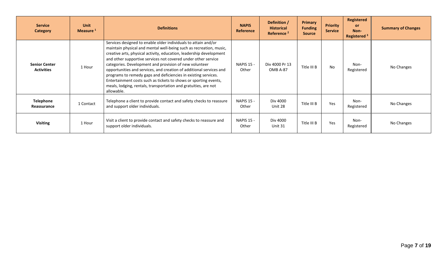| <b>Service</b><br>Category                | <b>Unit</b><br>Measure <sup>1</sup> | <b>Definitions</b>                                                                                                                                                                                                                                                                                                                                                                                                                                                                                                                                                                                                                   | <b>NAPIS</b><br><b>Reference</b> | Definition /<br><b>Historical</b><br>Reference <sup>2</sup> | <b>Primary</b><br><b>Funding</b><br><b>Source</b> | <b>Priority</b><br><b>Service</b> | Registered<br><b>or</b><br>Non-<br>Registered <sup>3</sup> | <b>Summary of Changes</b> |
|-------------------------------------------|-------------------------------------|--------------------------------------------------------------------------------------------------------------------------------------------------------------------------------------------------------------------------------------------------------------------------------------------------------------------------------------------------------------------------------------------------------------------------------------------------------------------------------------------------------------------------------------------------------------------------------------------------------------------------------------|----------------------------------|-------------------------------------------------------------|---------------------------------------------------|-----------------------------------|------------------------------------------------------------|---------------------------|
| <b>Senior Center</b><br><b>Activities</b> | 1 Hour                              | Services designed to enable older individuals to attain and/or<br>maintain physical and mental well-being such as recreation, music,<br>creative arts, physical activity, education, leadership development<br>and other supportive services not covered under other service<br>categories. Development and provision of new volunteer<br>opportunities and services, and creation of additional services and<br>programs to remedy gaps and deficiencies in existing services.<br>Entertainment costs such as tickets to shows or sporting events,<br>meals, lodging, rentals, transportation and gratuities, are not<br>allowable. | <b>NAPIS 15 -</b><br>Other       | Div 4000 Pr 13<br>OMB A-87                                  | Title III B                                       | <b>No</b>                         | Non-<br>Registered                                         | No Changes                |
| Telephone<br>Reassurance                  | 1 Contact                           | Telephone a client to provide contact and safety checks to reassure<br>and support older individuals.                                                                                                                                                                                                                                                                                                                                                                                                                                                                                                                                | <b>NAPIS 15 -</b><br>Other       | Div 4000<br>Unit 28                                         | Title III B                                       | Yes                               | Non-<br>Registered                                         | No Changes                |
| <b>Visiting</b>                           | 1 Hour                              | Visit a client to provide contact and safety checks to reassure and<br>support older individuals.                                                                                                                                                                                                                                                                                                                                                                                                                                                                                                                                    | <b>NAPIS 15 -</b><br>Other       | Div 4000<br>Unit 31                                         | Title III B                                       | Yes                               | Non-<br>Registered                                         | No Changes                |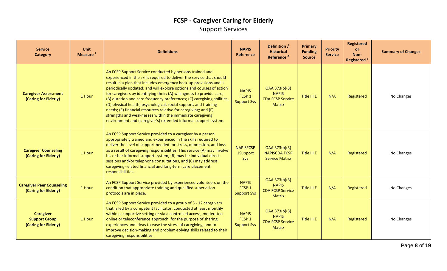### **FCSP - Caregiver Caring for Elderly** Support Services

| <b>Service</b><br><b>Category</b>                                | Unit<br>Measure <sup>1</sup> | <b>Definitions</b>                                                                                                                                                                                                                                                                                                                                                                                                                                                                                                                                                                                                                                                                                       | <b>NAPIS</b><br><b>Reference</b>                        | Definition /<br><b>Historical</b><br>Reference <sup>2</sup>               | <b>Primary</b><br><b>Funding</b><br><b>Source</b> | <b>Priority</b><br><b>Service</b> | <b>Registered</b><br><b>or</b><br>Non-<br>Registered <sup>3</sup> | <b>Summary of Changes</b> |
|------------------------------------------------------------------|------------------------------|----------------------------------------------------------------------------------------------------------------------------------------------------------------------------------------------------------------------------------------------------------------------------------------------------------------------------------------------------------------------------------------------------------------------------------------------------------------------------------------------------------------------------------------------------------------------------------------------------------------------------------------------------------------------------------------------------------|---------------------------------------------------------|---------------------------------------------------------------------------|---------------------------------------------------|-----------------------------------|-------------------------------------------------------------------|---------------------------|
| <b>Caregiver Assessment</b><br>(Caring for Elderly)              | 1 Hour                       | An FCSP Support Service conducted by persons trained and<br>experienced in the skills required to deliver the service that should<br>result in a plan that includes emergency back-up provisions and is<br>periodically updated; and will explore options and courses of action<br>for caregivers by identifying their: (A) willingness to provide care;<br>(B) duration and care frequency preferences; (C) caregiving abilities;<br>(D) physical health, psychological, social support, and training<br>needs; (E) financial resources relative for caregiving; and (F)<br>strengths and weaknesses within the immediate caregiving<br>environment and (caregiver's) extended informal support system. | <b>NAPIS</b><br>FCSP <sub>1</sub><br><b>Support Svs</b> | OAA 373(b)(3)<br><b>NAPIS</b><br><b>CDA FCSP Service</b><br><b>Matrix</b> | Title III E                                       | N/A                               | Registered                                                        | No Changes                |
| <b>Caregiver Counseling</b><br>(Caring for Elderly)              | 1 Hour                       | An FCSP Support Service provided to a caregiver by a person<br>appropriately trained and experienced in the skills required to<br>deliver the level of support needed for stress, depression, and loss<br>as a result of caregiving responsibilities. This service (A) may involve<br>his or her informal support system; (B) may be individual direct<br>sessions and/or telephone consultations, and (C) may address<br>caregiving-related financial and long-term care placement<br>responsibilities.                                                                                                                                                                                                 | <b>NAPISFCSP</b><br>1Support<br>Svs                     | OAA 373(b)(3)<br><b>NAPISCDA FCSP</b><br><b>Service Matrix</b>            | Title III E                                       | N/A                               | Registered                                                        | No Changes                |
| <b>Caregiver Peer Counseling</b><br>(Caring for Elderly)         | 1 Hour                       | An FCSP Support Service provided by experienced volunteers on the<br>condition that appropriate training and qualified supervision<br>protocols are in place.                                                                                                                                                                                                                                                                                                                                                                                                                                                                                                                                            | <b>NAPIS</b><br>FCSP <sub>1</sub><br><b>Support Svs</b> | OAA 373(b)(3)<br><b>NAPIS</b><br><b>CDA FCSP Service</b><br><b>Matrix</b> | Title III E                                       | N/A                               | Registered                                                        | No Changes                |
| <b>Caregiver</b><br><b>Support Group</b><br>(Caring for Elderly) | 1 Hour                       | An FCSP Support Service provided to a group of 3 - 12 caregivers<br>that is led by a competent facilitator; conducted at least monthly<br>within a supportive setting or via a controlled access, moderated<br>online or teleconference approach; for the purpose of sharing<br>experiences and ideas to ease the stress of caregiving, and to<br>improve decision-making and problem-solving skills related to their<br>caregiving responsibilities.                                                                                                                                                                                                                                                    | <b>NAPIS</b><br>FCSP <sub>1</sub><br><b>Support Svs</b> | OAA 373(b)(3)<br><b>NAPIS</b><br><b>CDA FCSP Service</b><br><b>Matrix</b> | Title III E                                       | N/A                               | Registered                                                        | No Changes                |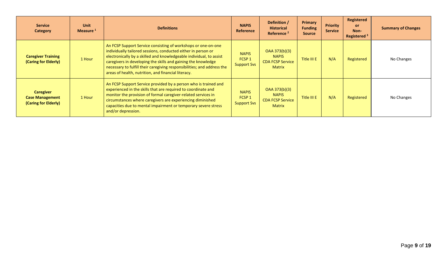| <b>Service</b><br><b>Category</b>                                  | <b>Unit</b><br>Measure <sup>1</sup> | <b>Definitions</b>                                                                                                                                                                                                                                                                                                                                                                                       | <b>NAPIS</b><br>Reference                               | Definition /<br><b>Historical</b><br>Reference <sup>2</sup>               | <b>Primary</b><br><b>Funding</b><br><b>Source</b> | <b>Priority</b><br><b>Service</b> | <b>Registered</b><br><b>or</b><br>Non-<br>Registered <sup>3</sup> | <b>Summary of Changes</b> |
|--------------------------------------------------------------------|-------------------------------------|----------------------------------------------------------------------------------------------------------------------------------------------------------------------------------------------------------------------------------------------------------------------------------------------------------------------------------------------------------------------------------------------------------|---------------------------------------------------------|---------------------------------------------------------------------------|---------------------------------------------------|-----------------------------------|-------------------------------------------------------------------|---------------------------|
| <b>Caregiver Training</b><br>(Caring for Elderly)                  | 1 Hour                              | An FCSP Support Service consisting of workshops or one-on-one<br>individually tailored sessions, conducted either in person or<br>electronically by a skilled and knowledgeable individual, to assist<br>caregivers in developing the skills and gaining the knowledge<br>necessary to fulfill their caregiving responsibilities; and address the<br>areas of health, nutrition, and financial literacy. | <b>NAPIS</b><br>FCSP <sub>1</sub><br><b>Support Svs</b> | OAA 373(b)(3)<br><b>NAPIS</b><br><b>CDA FCSP Service</b><br><b>Matrix</b> | Title III E                                       | N/A                               | Registered                                                        | No Changes                |
| <b>Caregiver</b><br><b>Case Management</b><br>(Caring for Elderly) | 1 Hour                              | An FCSP Support Service provided by a person who is trained and<br>experienced in the skills that are required to coordinate and<br>monitor the provision of formal caregiver-related services in<br>circumstances where caregivers are experiencing diminished<br>capacities due to mental impairment or temporary severe stress<br>and/or depression.                                                  | <b>NAPIS</b><br>FCSP <sub>1</sub><br><b>Support Svs</b> | OAA 373(b)(3)<br><b>NAPIS</b><br><b>CDA FCSP Service</b><br><b>Matrix</b> | Title III E                                       | N/A                               | Registered                                                        | No Changes                |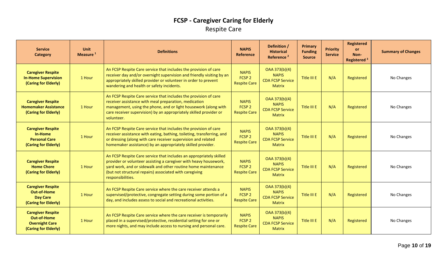### **FCSP - Caregiver Caring for Elderly** Respite Care

| <b>Service</b><br><b>Category</b>                                                               | <b>Unit</b><br>Measure <sup>1</sup> | <b>Definitions</b>                                                                                                                                                                                                                                                                        | <b>NAPIS</b><br>Reference                                | Definition /<br><b>Historical</b><br>Reference <sup>2</sup>               | Primary<br><b>Funding</b><br><b>Source</b> | <b>Priority</b><br><b>Service</b> | <b>Registered</b><br>or<br>Non-<br>Registered <sup>3</sup> | <b>Summary of Changes</b> |
|-------------------------------------------------------------------------------------------------|-------------------------------------|-------------------------------------------------------------------------------------------------------------------------------------------------------------------------------------------------------------------------------------------------------------------------------------------|----------------------------------------------------------|---------------------------------------------------------------------------|--------------------------------------------|-----------------------------------|------------------------------------------------------------|---------------------------|
| <b>Caregiver Respite</b><br><b>In-Home Supervision</b><br>(Caring for Elderly)                  | 1 Hour                              | An FCSP Respite Care service that includes the provision of care<br>receiver day and/or overnight supervision and friendly visiting by an<br>appropriately skilled provider or volunteer in order to prevent<br>wandering and health or safety incidents.                                 | <b>NAPIS</b><br>FCSP <sub>2</sub><br><b>Respite Care</b> | OAA 373(b)(4)<br><b>NAPIS</b><br><b>CDA FCSP Service</b><br><b>Matrix</b> | Title III E                                | N/A                               | Registered                                                 | No Changes                |
| <b>Caregiver Respite</b><br><b>Homemaker Assistance</b><br>(Caring for Elderly)                 | 1 Hour                              | An FCSP Respite Care service that includes the provision of care<br>receiver assistance with meal preparation, medication<br>management, using the phone, and or light housework (along with<br>care receiver supervision) by an appropriately skilled provider or<br>volunteer.          | <b>NAPIS</b><br>FCSP <sub>2</sub><br><b>Respite Care</b> | OAA 373(b)(4)<br><b>NAPIS</b><br><b>CDA FCSP Service</b><br><b>Matrix</b> | Title III E                                | N/A                               | Registered                                                 | No Changes                |
| <b>Caregiver Respite</b><br>In-Home<br><b>Personal Care</b><br>(Caring for Elderly)             | 1 Hour                              | An FCSP Respite Care service that includes the provision of care<br>receiver assistance with eating, bathing, toileting, transferring, and<br>or dressing (along with care receiver supervision and related<br>homemaker assistance) by an appropriately skilled provider.                | <b>NAPIS</b><br>FCSP <sub>2</sub><br><b>Respite Care</b> | OAA 373(b)(4)<br><b>NAPIS</b><br><b>CDA FCSP Service</b><br><b>Matrix</b> | Title III E                                | N/A                               | Registered                                                 | No Changes                |
| <b>Caregiver Respite</b><br><b>Home Chore</b><br>(Caring for Elderly)                           | 1 Hour                              | An FCSP Respite Care service that includes an appropriately skilled<br>provider or volunteer assisting a caregiver with heavy housework,<br>yard work, and or sidewalk and other routine home maintenance<br>(but not structural repairs) associated with caregiving<br>responsibilities. | <b>NAPIS</b><br>FCSP <sub>2</sub><br><b>Respite Care</b> | OAA 373(b)(4)<br><b>NAPIS</b><br><b>CDA FCSP Service</b><br><b>Matrix</b> | Title III E                                | N/A                               | Registered                                                 | No Changes                |
| <b>Caregiver Respite</b><br><b>Out-of-Home</b><br><b>Day Care</b><br>(Caring for Elderly)       | 1 Hour                              | An FCSP Respite Care service where the care receiver attends a<br>supervised/protective, congregate setting during some portion of a<br>day, and includes assess to social and recreational activities.                                                                                   | <b>NAPIS</b><br>FCSP <sub>2</sub><br><b>Respite Care</b> | OAA 373(b)(4)<br><b>NAPIS</b><br><b>CDA FCSP Service</b><br><b>Matrix</b> | Title III E                                | N/A                               | Registered                                                 | No Changes                |
| <b>Caregiver Respite</b><br><b>Out-of-Home</b><br><b>Overnight Care</b><br>(Caring for Elderly) | 1 Hour                              | An FCSP Respite Care service where the care receiver is temporarily<br>placed in a supervised/protective, residential setting for one or<br>more nights, and may include access to nursing and personal care.                                                                             | <b>NAPIS</b><br>FCSP <sub>2</sub><br><b>Respite Care</b> | OAA 373(b)(4)<br><b>NAPIS</b><br><b>CDA FCSP Service</b><br><b>Matrix</b> | Title III E                                | N/A                               | Registered                                                 | No Changes                |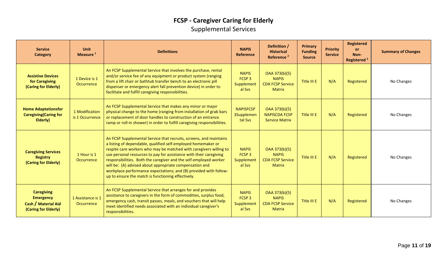### **FCSP - Caregiver Caring for Elderly** Supplemental Services

| <b>Service</b><br><b>Category</b>                                                    | Unit<br>Measure <sup>1</sup>      | <b>Definitions</b>                                                                                                                                                                                                                                                                                                                                                                                                                                                                                                                         | <b>NAPIS</b><br>Reference                                 | Definition /<br><b>Historical</b><br>Reference <sup>2</sup>               | <b>Primary</b><br><b>Funding</b><br><b>Source</b> | <b>Priority</b><br><b>Service</b> | <b>Registered</b><br>or<br>Non-<br>Registered <sup>3</sup> | <b>Summary of Changes</b> |
|--------------------------------------------------------------------------------------|-----------------------------------|--------------------------------------------------------------------------------------------------------------------------------------------------------------------------------------------------------------------------------------------------------------------------------------------------------------------------------------------------------------------------------------------------------------------------------------------------------------------------------------------------------------------------------------------|-----------------------------------------------------------|---------------------------------------------------------------------------|---------------------------------------------------|-----------------------------------|------------------------------------------------------------|---------------------------|
| <b>Assistive Devices</b><br>for Caregiving<br>(Caring for Elderly)                   | 1 Device is 1<br>Occurrence       | An FCSP Supplemental Service that involves the purchase, rental<br>and/or service fee of any equipment or product system (ranging<br>from a lift chair or bathtub transfer bench to an electronic pill<br>dispenser or emergency alert fall prevention device) in order to<br>facilitate and fulfill caregiving responsibilities.                                                                                                                                                                                                          | <b>NAPIS</b><br>FCSP <sub>3</sub><br>Supplement<br>al Svs | OAA 373(b)(5)<br><b>NAPIS</b><br><b>CDA FCSP Service</b><br><b>Matrix</b> | Title III E                                       | N/A                               | Registered                                                 | No Changes                |
| <b>Home Adaptationsfor</b><br><b>Caregiving (Caring for</b><br>Elderly)              | 1 Modification<br>is 1 Occurrence | An FCSP Supplemental Service that makes any minor or major<br>physical change to the home (ranging from installation of grab bars<br>or replacement of door handles to construction of an entrance<br>ramp or roll-in shower) in order to fulfill caregiving responsibilities.                                                                                                                                                                                                                                                             | <b>NAPISFCSP</b><br><b>3Supplemen</b><br>tal Svs          | OAA 373(b)(5)<br><b>NAPISCDA FCSP</b><br><b>Service Matrix</b>            | Title III E                                       | N/A                               | Registered                                                 | No Changes                |
| <b>Caregiving Services</b><br><b>Registry</b><br>(Caring for Elderly)                | 1 Hour is 1<br>Occurrence         | An FCSP Supplemental Service that recruits, screens, and maintains<br>a listing of dependable, qualified self-employed homemaker or<br>respite care workers who may be matched with caregivers willing to<br>use personal resources to pay for assistance with their caregiving<br>responsibilities. Both the caregiver and the self-employed worker<br>will be: (A) advised about appropriate compensation and<br>workplace performance expectations; and (B) provided with follow-<br>up to ensure the match is functioning effectively. | <b>NAPIS</b><br>FCSP <sub>3</sub><br>Supplement<br>al Sys | OAA 373(b)(5)<br><b>NAPIS</b><br><b>CDA FCSP Service</b><br><b>Matrix</b> | Title III E                                       | N/A                               | Registered                                                 | No Changes                |
| <b>Caregiving</b><br><b>Emergency</b><br>Cash / Material Aid<br>(Caring for Elderly) | 1 Assistance is 1<br>Occurrence   | An FCSP Supplemental Service that arranges for and provides<br>assistance to caregivers in the form of commodities, surplus food,<br>emergency cash, transit passes, meals, and vouchers that will help<br>meet identified needs associated with an individual caregiver's<br>responsibilities.                                                                                                                                                                                                                                            | <b>NAPIS</b><br>FCSP <sub>3</sub><br>Supplement<br>al Sys | OAA 373(b)(5)<br><b>NAPIS</b><br><b>CDA FCSP Service</b><br><b>Matrix</b> | Title III E                                       | N/A                               | Registered                                                 | No Changes                |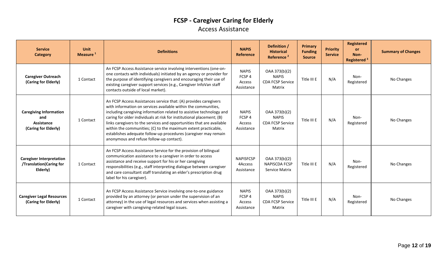### **FCSP - Caregiver Caring for Elderly** Access Assistance

| <b>Service</b><br><b>Category</b>                                          | <b>Unit</b><br>Measure <sup>1</sup> | <b>Definitions</b>                                                                                                                                                                                                                                                                                                                                                                                                                                                                                                                            | <b>NAPIS</b><br>Reference                                 | Definition /<br><b>Historical</b><br>Reference <sup>2</sup>        | Primary<br><b>Funding</b><br><b>Source</b> | <b>Priority</b><br><b>Service</b> | <b>Registered</b><br><b>or</b><br>Non-<br>Registered <sup>3</sup> | <b>Summary of Changes</b> |
|----------------------------------------------------------------------------|-------------------------------------|-----------------------------------------------------------------------------------------------------------------------------------------------------------------------------------------------------------------------------------------------------------------------------------------------------------------------------------------------------------------------------------------------------------------------------------------------------------------------------------------------------------------------------------------------|-----------------------------------------------------------|--------------------------------------------------------------------|--------------------------------------------|-----------------------------------|-------------------------------------------------------------------|---------------------------|
| <b>Caregiver Outreach</b><br>(Caring for Elderly)                          | 1 Contact                           | An FCSP Access Assistance service involving interventions (one-on-<br>one contacts with individuals) initiated by an agency or provider for<br>the purpose of identifying caregivers and encouraging their use of<br>existing caregiver support services (e.g., Caregiver InfoVan staff<br>contacts outside of local market).                                                                                                                                                                                                                 | <b>NAPIS</b><br>FCSP 4<br>Access<br>Assistance            | OAA 373(b)(2)<br><b>NAPIS</b><br><b>CDA FCSP Service</b><br>Matrix | Title III E                                | N/A                               | Non-<br>Registered                                                | No Changes                |
| <b>Caregiving Information</b><br>and<br>Assistance<br>(Caring for Elderly) | 1 Contact                           | An FCSP Access Assistances service that: (A) provides caregivers<br>with information on services available within the communities,<br>including caregiving information related to assistive technology and<br>caring for older individuals at risk for institutional placement; (B)<br>links caregivers to the services and opportunities that are available<br>within the communities; (C) to the maximum extent practicable,<br>establishes adequate follow-up procedures (caregiver may remain<br>anonymous and refuse follow-up contact). | <b>NAPIS</b><br>FCSP 4<br>Access<br>Assistance            | OAA 373(b)(2)<br><b>NAPIS</b><br><b>CDA FCSP Service</b><br>Matrix | Title III E                                | N/A                               | Non-<br>Registered                                                | No Changes                |
| <b>Caregiver Interpretation</b><br>/Translation(Caring for<br>Elderly)     | 1 Contact                           | An FCSP Access Assistance Service for the provision of bilingual<br>communication assistance to a caregiver in order to access<br>assistance and receive support for his or her caregiving<br>responsibilities (e.g., staff interpreting dialogue between caregiver<br>and care consultant staff translating an elder's prescription drug<br>label for his caregiver).                                                                                                                                                                        | <b>NAPISFCSP</b><br>4Access<br>Assistance                 | OAA 373(b)(2)<br><b>NAPISCDA FCSP</b><br><b>Service Matrix</b>     | Title III E                                | N/A                               | Non-<br>Registered                                                | No Changes                |
| <b>Caregiver Legal Resources</b><br>(Caring for Elderly)                   | 1 Contact                           | An FCSP Access Assistance Service involving one-to-one guidance<br>provided by an attorney (or person under the supervision of an<br>attorney) in the use of legal resources and services when assisting a<br>caregiver with caregiving-related legal issues.                                                                                                                                                                                                                                                                                 | <b>NAPIS</b><br>FCSP <sub>4</sub><br>Access<br>Assistance | OAA 373(b)(2)<br><b>NAPIS</b><br><b>CDA FCSP Service</b><br>Matrix | Title III E                                | N/A                               | Non-<br>Registered                                                | No Changes                |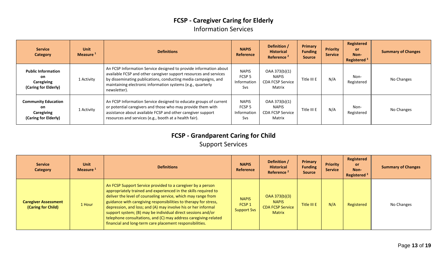### **FCSP - Caregiver Caring for Elderly** Information Services

| <b>Service</b><br><b>Category</b>                                      | Unit<br>Measure <sup>1</sup> | <b>Definitions</b>                                                                                                                                                                                                                                                                      | <b>NAPIS</b><br>Reference                                      | Definition /<br><b>Historical</b><br>Reference <sup>2</sup>        | <b>Primary</b><br><b>Funding</b><br><b>Source</b> | <b>Priority</b><br><b>Service</b> | Registered<br>or<br>Non-<br>Registered <sup>3</sup> | <b>Summary of Changes</b> |
|------------------------------------------------------------------------|------------------------------|-----------------------------------------------------------------------------------------------------------------------------------------------------------------------------------------------------------------------------------------------------------------------------------------|----------------------------------------------------------------|--------------------------------------------------------------------|---------------------------------------------------|-----------------------------------|-----------------------------------------------------|---------------------------|
| <b>Public Information</b><br>on<br>Caregiving<br>(Caring for Elderly)  | 1 Activity                   | An FCSP Information Service designed to provide information about<br>available FCSP and other caregiver support resources and services<br>by disseminating publications, conducting media campaigns, and<br>maintaining electronic information systems (e.g., quarterly<br>newsletter). | <b>NAPIS</b><br>FCSP <sub>5</sub><br>Information<br><b>Svs</b> | OAA 373(b)(1)<br><b>NAPIS</b><br><b>CDA FCSP Service</b><br>Matrix | Title III E                                       | N/A                               | Non-<br>Registered                                  | No Changes                |
| <b>Community Education</b><br>on<br>Caregiving<br>(Caring for Elderly) | 1 Activity                   | An FCSP Information Service designed to educate groups of current<br>or potential caregivers and those who may provide them with<br>assistance about available FCSP and other caregiver support<br>resources and services (e.g., booth at a health fair).                               | <b>NAPIS</b><br>FCSP <sub>5</sub><br>Information<br><b>Svs</b> | OAA 373(b)(1)<br>NAPIS<br><b>CDA FCSP Service</b><br>Matrix        | Title III E                                       | N/A                               | Non-<br>Registered                                  | No Changes                |

### **FCSP - Grandparent Caring for Child** Support Services

| <b>Service</b><br><b>Category</b>                 | <b>Unit</b><br>Measure <sup>1</sup> | <b>Definitions</b>                                                                                                                                                                                                                                                                                                                                                                                                                                                                                                                  | <b>NAPIS</b><br>Reference                               | Definition /<br><b>Historical</b><br>Reference <sup>2</sup>               | Primary<br><b>Funding</b><br><b>Source</b> | <b>Priority</b><br><b>Service</b> | Registered<br><b>or</b><br>Non-<br>Registered $3$ | <b>Summary of Changes</b> |
|---------------------------------------------------|-------------------------------------|-------------------------------------------------------------------------------------------------------------------------------------------------------------------------------------------------------------------------------------------------------------------------------------------------------------------------------------------------------------------------------------------------------------------------------------------------------------------------------------------------------------------------------------|---------------------------------------------------------|---------------------------------------------------------------------------|--------------------------------------------|-----------------------------------|---------------------------------------------------|---------------------------|
| <b>Caregiver Assessment</b><br>(Caring for Child) | 1 Hour                              | An FCSP Support Service provided to a caregiver by a person<br>appropriately trained and experienced in the skills required to<br>deliver the level of counseling service, which may range from<br>guidance with caregiving responsibilities to therapy for stress,<br>depression, and loss; and (A) may involve his or her informal<br>support system; (B) may be individual direct sessions and/or<br>telephone consultations, and (C) may address caregiving-related<br>financial and long-term care placement responsibilities. | <b>NAPIS</b><br>FCSP <sub>1</sub><br><b>Support Svs</b> | OAA 373(b)(3)<br><b>NAPIS</b><br><b>CDA FCSP Service</b><br><b>Matrix</b> | Title III E                                | N/A                               | Registered                                        | No Changes                |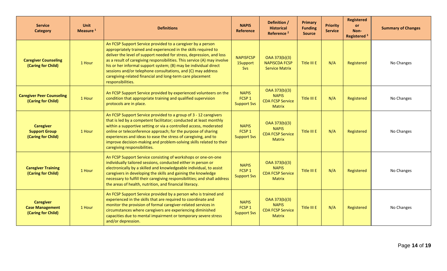| <b>Service</b><br><b>Category</b>                                | <b>Unit</b><br>Measure <sup>1</sup> | <b>Definitions</b>                                                                                                                                                                                                                                                                                                                                                                                                                                                                                       | <b>NAPIS</b><br>Reference                               | Definition /<br><b>Historical</b><br>Reference <sup>2</sup>               | <b>Primary</b><br><b>Funding</b><br><b>Source</b> | <b>Priority</b><br><b>Service</b> | <b>Registered</b><br><b>or</b><br>Non-<br>Registered <sup>3</sup> | <b>Summary of Changes</b> |
|------------------------------------------------------------------|-------------------------------------|----------------------------------------------------------------------------------------------------------------------------------------------------------------------------------------------------------------------------------------------------------------------------------------------------------------------------------------------------------------------------------------------------------------------------------------------------------------------------------------------------------|---------------------------------------------------------|---------------------------------------------------------------------------|---------------------------------------------------|-----------------------------------|-------------------------------------------------------------------|---------------------------|
| <b>Caregiver Counseling</b><br>(Caring for Child)                | 1 Hour                              | An FCSP Support Service provided to a caregiver by a person<br>appropriately trained and experienced in the skills required to<br>deliver the level of support needed for stress, depression, and loss<br>as a result of caregiving responsibilities. This service (A) may involve<br>his or her informal support system; (B) may be individual direct<br>sessions and/or telephone consultations, and (C) may address<br>caregiving-related financial and long-term care placement<br>responsibilities. | <b>NAPISFCSP</b><br>1Support<br>Svs                     | OAA 373(b)(3)<br><b>NAPISCDA FCSP</b><br><b>Service Matrix</b>            | Title III E                                       | N/A                               | Registered                                                        | No Changes                |
| <b>Caregiver Peer Counseling</b><br>(Caring for Child)           | 1 Hour                              | An FCSP Support Service provided by experienced volunteers on the<br>condition that appropriate training and qualified supervision<br>protocols are in place.                                                                                                                                                                                                                                                                                                                                            | <b>NAPIS</b><br>FCSP <sub>1</sub><br><b>Support Svs</b> | OAA 373(b)(3)<br><b>NAPIS</b><br><b>CDA FCSP Service</b><br><b>Matrix</b> | Title III E                                       | N/A                               | Registered                                                        | No Changes                |
| <b>Caregiver</b><br><b>Support Group</b><br>(Caring for Child)   | 1 Hour                              | An FCSP Support Service provided to a group of 3 - 12 caregivers<br>that is led by a competent facilitator; conducted at least monthly<br>within a supportive setting or via a controlled access, moderated<br>online or teleconference approach; for the purpose of sharing<br>experiences and ideas to ease the stress of caregiving, and to<br>improve decision-making and problem-solving skills related to their<br>caregiving responsibilities.                                                    | <b>NAPIS</b><br>FCSP <sub>1</sub><br><b>Support Svs</b> | OAA 373(b)(3)<br><b>NAPIS</b><br><b>CDA FCSP Service</b><br><b>Matrix</b> | Title III E                                       | N/A                               | Registered                                                        | No Changes                |
| <b>Caregiver Training</b><br>(Caring for Child)                  | 1 Hour                              | An FCSP Support Service consisting of workshops or one-on-one<br>individually tailored sessions, conducted either in person or<br>electronically by a skilled and knowledgeable individual, to assist<br>caregivers in developing the skills and gaining the knowledge<br>necessary to fulfill their caregiving responsibilities; and shall address<br>the areas of health, nutrition, and financial literacy.                                                                                           | <b>NAPIS</b><br>FCSP <sub>1</sub><br><b>Support Svs</b> | OAA 373(b)(3)<br><b>NAPIS</b><br><b>CDA FCSP Service</b><br><b>Matrix</b> | Title III E                                       | N/A                               | Registered                                                        | No Changes                |
| <b>Caregiver</b><br><b>Case Management</b><br>(Caring for Child) | 1 Hour                              | An FCSP Support Service provided by a person who is trained and<br>experienced in the skills that are required to coordinate and<br>monitor the provision of formal caregiver-related services in<br>circumstances where caregivers are experiencing diminished<br>capacities due to mental impairment or temporary severe stress<br>and/or depression.                                                                                                                                                  | <b>NAPIS</b><br>FCSP <sub>1</sub><br><b>Support Svs</b> | OAA 373(b)(3)<br><b>NAPIS</b><br><b>CDA FCSP Service</b><br><b>Matrix</b> | Title III E                                       | N/A                               | Registered                                                        | No Changes                |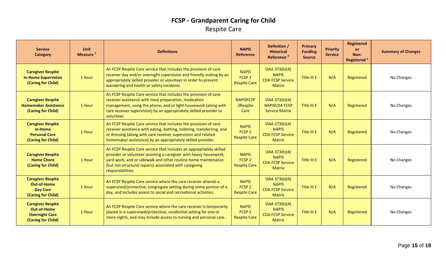### **FCSP - Grandparent Caring for Child** Respite Care

| <b>Service</b><br><b>Category</b>                                                             | <b>Unit</b><br>Measure <sup>1</sup> | <b>Definitions</b>                                                                                                                                                                                                                                                                        | <b>NAPIS</b><br>Reference                                | Definition /<br><b>Historical</b><br>Reference <sup>2</sup>               | Primary<br><b>Funding</b><br><b>Source</b> | <b>Priority</b><br><b>Service</b> | <b>Registered</b><br><b>or</b><br>Non-<br>Registered <sup>3</sup> | <b>Summary of Changes</b> |
|-----------------------------------------------------------------------------------------------|-------------------------------------|-------------------------------------------------------------------------------------------------------------------------------------------------------------------------------------------------------------------------------------------------------------------------------------------|----------------------------------------------------------|---------------------------------------------------------------------------|--------------------------------------------|-----------------------------------|-------------------------------------------------------------------|---------------------------|
| <b>Caregiver Respite</b><br><b>In-Home Supervision</b><br>(Caring for Child)                  | 1 Hour                              | An FCSP Respite Care service that includes the provision of care<br>receiver day and/or overnight supervision and friendly visiting by an<br>appropriately skilled provider or volunteer in order to prevent<br>wandering and health or safety incidents.                                 | <b>NAPIS</b><br>FCSP <sub>2</sub><br><b>Respite Care</b> | OAA 373(b)(4)<br><b>NAPIS</b><br><b>CDA FCSP Service</b><br><b>Matrix</b> | Title III E                                | N/A                               | Registered                                                        | No Changes                |
| <b>Caregiver Respite</b><br><b>Homemaker Assistance</b><br>(Caring for Child)                 | 1 Hour                              | An FCSP Respite Care service that includes the provision of care<br>receiver assistance with meal preparation, medication<br>management, using the phone, and or light housework (along with<br>care receiver supervision) by an appropriately skilled provider or<br>volunteer.          | <b>NAPISFCSP</b><br>2Respite<br>Care                     | OAA 373(b)(4)<br><b>NAPISCDA FCSP</b><br><b>Service Matrix</b>            | Title III E                                | N/A                               | Registered                                                        | No Changes                |
| <b>Caregiver Respite</b><br>In-Home<br><b>Personal Care</b><br>(Caring for Child)             | 1 Hour                              | An FCSP Respite Care service that includes the provision of care<br>receiver assistance with eating, bathing, toileting, transferring, and<br>or dressing (along with care receiver supervision and related<br>homemaker assistance) by an appropriately skilled provider.                | <b>NAPIS</b><br>FCSP <sub>2</sub><br><b>Respite Care</b> | OAA 373(b)(4)<br><b>NAPIS</b><br><b>CDA FCSP Service</b><br><b>Matrix</b> | Title III E                                | N/A                               | Registered                                                        | No Changes                |
| <b>Caregiver Respite</b><br><b>Home Chore</b><br>(Caring for Child)                           | 1 Hour                              | An FCSP Respite Care service that includes an appropriately skilled<br>provider or volunteer assisting a caregiver with heavy housework,<br>yard work, and or sidewalk and other routine home maintenance<br>(but not structural repairs) associated with caregiving<br>responsibilities. | <b>NAPIS</b><br>FCSP <sub>2</sub><br><b>Respite Care</b> | OAA 373(b)(4)<br><b>NAPIS</b><br><b>CDA FCSP Service</b><br><b>Matrix</b> | Title III E                                | N/A                               | Registered                                                        | No Changes                |
| <b>Caregiver Respite</b><br><b>Out-of-Home</b><br><b>Day Care</b><br>(Caring for Child)       | 1 Hour                              | An FCSP Respite Care service where the care receiver attends a<br>supervised/protective, congregate setting during some portion of a<br>day, and includes assess to social and recreational activities.                                                                                   | <b>NAPIS</b><br>FCSP <sub>2</sub><br><b>Respite Care</b> | OAA 373(b)(4)<br><b>NAPIS</b><br><b>CDA FCSP Service</b><br><b>Matrix</b> | Title III E                                | N/A                               | Registered                                                        | No Changes                |
| <b>Caregiver Respite</b><br><b>Out-of-Home</b><br><b>Overnight Care</b><br>(Caring for Child) | 1 Hour                              | An FCSP Respite Care service where the care receiver is temporarily<br>placed in a supervised/protective, residential setting for one or<br>more nights, and may include access to nursing and personal care.                                                                             | <b>NAPIS</b><br>FCSP <sub>2</sub><br><b>Respite Care</b> | OAA 373(b)(4)<br><b>NAPIS</b><br><b>CDA FCSP Service</b><br><b>Matrix</b> | Title III E                                | N/A                               | Registered                                                        | No Changes                |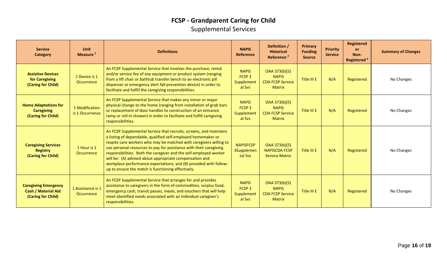### **FCSP - Grandparent Caring for Child** Supplemental Services

| <b>Service</b><br><b>Category</b>                                               | <b>Unit</b><br>Measure <sup>1</sup> | <b>Definitions</b>                                                                                                                                                                                                                                                                                                                                                                                                                                                                                                                         | <b>NAPIS</b><br>Reference                                 | Definition /<br><b>Historical</b><br>Reference <sup>2</sup>               | <b>Primary</b><br><b>Funding</b><br><b>Source</b> | <b>Priority</b><br><b>Service</b> | <b>Registered</b><br><b>or</b><br>Non-<br>Registered <sup>3</sup> | <b>Summary of Changes</b> |
|---------------------------------------------------------------------------------|-------------------------------------|--------------------------------------------------------------------------------------------------------------------------------------------------------------------------------------------------------------------------------------------------------------------------------------------------------------------------------------------------------------------------------------------------------------------------------------------------------------------------------------------------------------------------------------------|-----------------------------------------------------------|---------------------------------------------------------------------------|---------------------------------------------------|-----------------------------------|-------------------------------------------------------------------|---------------------------|
| <b>Assistive Devices</b><br>for Caregiving<br>(Caring for Child)                | 1 Device is 1<br>Occurrence         | An FCSP Supplemental Service that involves the purchase, rental<br>and/or service fee of any equipment or product system (ranging<br>from a lift chair or bathtub transfer bench to an electronic pill<br>dispenser or emergency alert fall prevention device) in order to<br>facilitate and fulfill the caregiving responsibilities.                                                                                                                                                                                                      | <b>NAPIS</b><br>FCSP <sub>3</sub><br>Supplement<br>al Sys | OAA 373(b)(5)<br><b>NAPIS</b><br><b>CDA FCSP Service</b><br><b>Matrix</b> | Title III E                                       | N/A                               | Registered                                                        | No Changes                |
| <b>Home Adaptations for</b><br><b>Caregiving</b><br>(Caring for Child)          | 1 Modification<br>is 1 Occurrence   | An FCSP Supplemental Service that makes any minor or major<br>physical change to the home (ranging from installation of grab bars<br>or replacement of door handles to construction of an entrance<br>ramp or roll-in shower) in order to facilitate and fulfill caregiving<br>responsibilities.                                                                                                                                                                                                                                           | <b>NAPIS</b><br>FCSP <sub>3</sub><br>Supplement<br>al Sys | OAA 373(b)(5)<br><b>NAPIS</b><br><b>CDA FCSP Service</b><br><b>Matrix</b> | Title III E                                       | N/A                               | Registered                                                        | No Changes                |
| <b>Caregiving Services</b><br><b>Registry</b><br>(Caring for Child)             | 1 Hour is 1<br>Occurrence           | An FCSP Supplemental Service that recruits, screens, and maintains<br>a listing of dependable, qualified self-employed homemaker or<br>respite care workers who may be matched with caregivers willing to<br>use personal resources to pay for assistance with their caregiving<br>responsibilities. Both the caregiver and the self-employed worker<br>will be: (A) advised about appropriate compensation and<br>workplace performance expectations; and (B) provided with follow-<br>up to ensure the match is functioning effectively. | <b>NAPISFCSP</b><br><b>3Supplemen</b><br>tal Svs          | OAA 373(b)(5)<br><b>NAPISCDA FCSP</b><br><b>Service Matrix</b>            | Title III E                                       | N/A                               | Registered                                                        | No Changes                |
| <b>Caregiving Emergency</b><br><b>Cash / Material Aid</b><br>(Caring for Child) | 1 Assistance is 1<br>Occurrence     | An FCSP Supplemental Service that arranges for and provides<br>assistance to caregivers in the form of commodities, surplus food,<br>emergency cash, transit passes, meals, and vouchers that will help<br>meet identified needs associated with an individual caregiver's<br>responsibilities.                                                                                                                                                                                                                                            | <b>NAPIS</b><br>FCSP <sub>3</sub><br>Supplement<br>al Svs | OAA 373(b)(5)<br><b>NAPIS</b><br><b>CDA FCSP Service</b><br><b>Matrix</b> | Title III E                                       | N/A                               | Registered                                                        | No Changes                |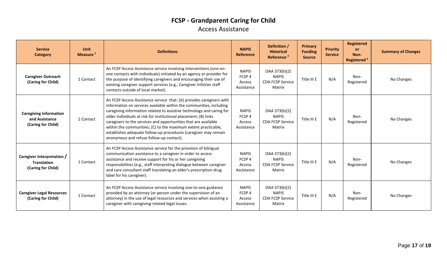### **FCSP - Grandparent Caring for Child** Access Assistance

| <b>Service</b><br><b>Category</b>                                      | Unit<br>Measure <sup>1</sup> | <b>Definitions</b>                                                                                                                                                                                                                                                                                                                                                                                                                                                                                                                           | <b>NAPIS</b><br>Reference                                 | Definition /<br><b>Historical</b><br>Reference <sup>2</sup>        | <b>Primary</b><br><b>Funding</b><br><b>Source</b> | <b>Priority</b><br><b>Service</b> | <b>Registered</b><br><b>or</b><br>Non-<br>Registered <sup>3</sup> | <b>Summary of Changes</b> |
|------------------------------------------------------------------------|------------------------------|----------------------------------------------------------------------------------------------------------------------------------------------------------------------------------------------------------------------------------------------------------------------------------------------------------------------------------------------------------------------------------------------------------------------------------------------------------------------------------------------------------------------------------------------|-----------------------------------------------------------|--------------------------------------------------------------------|---------------------------------------------------|-----------------------------------|-------------------------------------------------------------------|---------------------------|
| <b>Caregiver Outreach</b><br>(Caring for Child)                        | 1 Contact                    | An FCSP Access Assistance service involving interventions (one-on-<br>one contacts with individuals) initiated by an agency or provider for<br>the purpose of identifying caregivers and encouraging their use of<br>existing caregiver support services (e.g., Caregiver InfoVan staff<br>contacts outside of local market).                                                                                                                                                                                                                | <b>NAPIS</b><br>FCSP 4<br>Access<br>Assistance            | OAA 373(b)(2)<br><b>NAPIS</b><br><b>CDA FCSP Service</b><br>Matrix | Title III E                                       | N/A                               | Non-<br>Registered                                                | No Changes                |
| <b>Caregiving Information</b><br>and Assistance<br>(Caring for Child)  | 1 Contact                    | An FCSP Access Assistance service that: (A) provides caregivers with<br>information on services available within the communities, including<br>caregiving information related to assistive technology and caring for<br>older individuals at risk for institutional placement; (B) links<br>caregivers to the services and opportunities that are available<br>within the communities; (C) to the maximum extent practicable,<br>establishes adequate follow-up procedures (caregiver may remain<br>anonymous and refuse follow-up contact). | <b>NAPIS</b><br>FCSP <sub>4</sub><br>Access<br>Assistance | OAA 373(b)(2)<br><b>NAPIS</b><br><b>CDA FCSP Service</b><br>Matrix | Title III E                                       | N/A                               | Non-<br>Registered                                                | No Changes                |
| Caregiver Interpretation /<br><b>Translation</b><br>(Caring for Child) | 1 Contact                    | An FCSP Access Assistance service for the provision of bilingual<br>communication assistance to a caregiver in order to access<br>assistance and receive support for his or her caregiving<br>responsibilities (e.g., staff interpreting dialogue between caregiver<br>and care consultant staff translating an elder's prescription drug<br>label for his caregiver).                                                                                                                                                                       | <b>NAPIS</b><br>FCSP <sub>4</sub><br>Access<br>Assistance | OAA 373(b)(2)<br><b>NAPIS</b><br><b>CDA FCSP Service</b><br>Matrix | Title III E                                       | N/A                               | Non-<br>Registered                                                | No Changes                |
| <b>Caregiver Legal Resources</b><br>(Caring for Child)                 | 1 Contact                    | An FCSP Access Assistance service involving one-to-one guidance<br>provided by an attorney (or person under the supervision of an<br>attorney) in the use of legal resources and services when assisting a<br>caregiver with caregiving-related legal issues.                                                                                                                                                                                                                                                                                | <b>NAPIS</b><br>FCSP <sub>4</sub><br>Access<br>Assistance | OAA 373(b)(2)<br><b>NAPIS</b><br><b>CDA FCSP Service</b><br>Matrix | Title III E                                       | N/A                               | Non-<br>Registered                                                | No Changes                |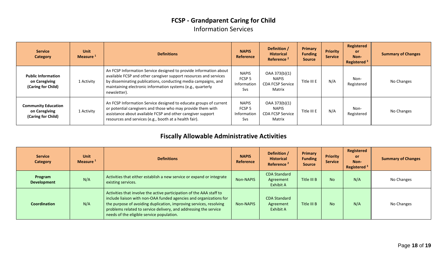### **FCSP - Grandparent Caring for Child** Information Services

| <b>Service</b><br><b>Category</b>                                 | Unit<br>Measure <sup>1</sup> | <b>Definitions</b>                                                                                                                                                                                                                                                                      | <b>NAPIS</b><br>Reference                                      | Definition /<br><b>Historical</b><br>Reference <sup>2</sup>        | Primary<br><b>Funding</b><br><b>Source</b> | <b>Priority</b><br><b>Service</b> | Registered<br><b>or</b><br>Non-<br>Registered <sup>3</sup> | <b>Summary of Changes</b> |
|-------------------------------------------------------------------|------------------------------|-----------------------------------------------------------------------------------------------------------------------------------------------------------------------------------------------------------------------------------------------------------------------------------------|----------------------------------------------------------------|--------------------------------------------------------------------|--------------------------------------------|-----------------------------------|------------------------------------------------------------|---------------------------|
| <b>Public Information</b><br>on Caregiving<br>(Caring for Child)  | 1 Activity                   | An FCSP Information Service designed to provide information about<br>available FCSP and other caregiver support resources and services<br>by disseminating publications, conducting media campaigns, and<br>maintaining electronic information systems (e.g., quarterly<br>newsletter). | <b>NAPIS</b><br>FCSP <sub>5</sub><br>Information<br><b>Svs</b> | OAA 373(b)(1)<br><b>NAPIS</b><br><b>CDA FCSP Service</b><br>Matrix | Title III E                                | N/A                               | Non-<br>Registered                                         | No Changes                |
| <b>Community Education</b><br>on Caregiving<br>(Caring for Child) | 1 Activity                   | An FCSP Information Service designed to educate groups of current<br>or potential caregivers and those who may provide them with<br>assistance about available FCSP and other caregiver support<br>resources and services (e.g., booth at a health fair).                               | <b>NAPIS</b><br>FCSP <sub>5</sub><br>Information<br>Svs        | OAA 373(b)(1)<br><b>NAPIS</b><br><b>CDA FCSP Service</b><br>Matrix | Title III E                                | N/A                               | Non-<br>Registered                                         | No Changes                |

### **Fiscally Allowable Administrative Activities**

| <b>Service</b><br><b>Category</b> | Unit<br>Measure <sup>1</sup> | <b>Definitions</b>                                                                                                                                                                                                                                                                                                                | <b>NAPIS</b><br>Reference | Definition /<br><b>Historical</b><br>Reference <sup>2</sup> | Primary<br><b>Funding</b><br><b>Source</b> | <b>Priority</b><br><b>Service</b> | Registered<br>or<br>Non-<br>Registered <sup>3</sup> | <b>Summary of Changes</b> |
|-----------------------------------|------------------------------|-----------------------------------------------------------------------------------------------------------------------------------------------------------------------------------------------------------------------------------------------------------------------------------------------------------------------------------|---------------------------|-------------------------------------------------------------|--------------------------------------------|-----------------------------------|-----------------------------------------------------|---------------------------|
| Program<br><b>Development</b>     | N/A                          | Activities that either establish a new service or expand or integrate<br>existing services.                                                                                                                                                                                                                                       | Non-NAPIS                 | <b>CDA Standard</b><br>Agreement<br>Exhibit A               | Title III B                                | <b>No</b>                         | N/A                                                 | No Changes                |
| Coordination                      | N/A                          | Activities that involve the active participation of the AAA staff to<br>include liaison with non-OAA funded agencies and organizations for<br>the purpose of avoiding duplication, improving services, resolving<br>problems related to service delivery, and addressing the service<br>needs of the eligible service population. | Non-NAPIS                 | <b>CDA Standard</b><br>Agreement<br>Exhibit A               | Title III B                                | <b>No</b>                         | N/A                                                 | No Changes                |